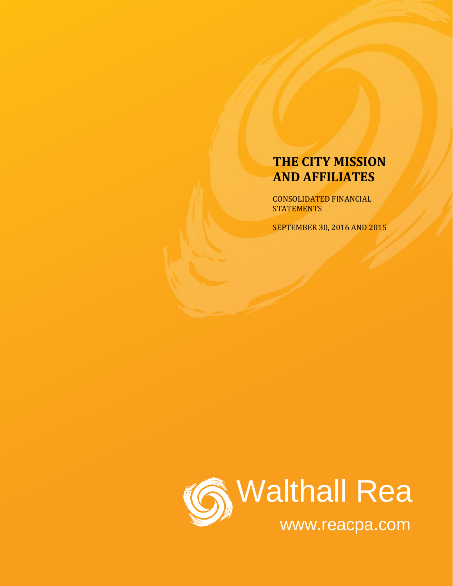CONSOLIDATED FINANCIAL **STATEMENTS** 

SEPTEMBER 30, 2016 AND 2015

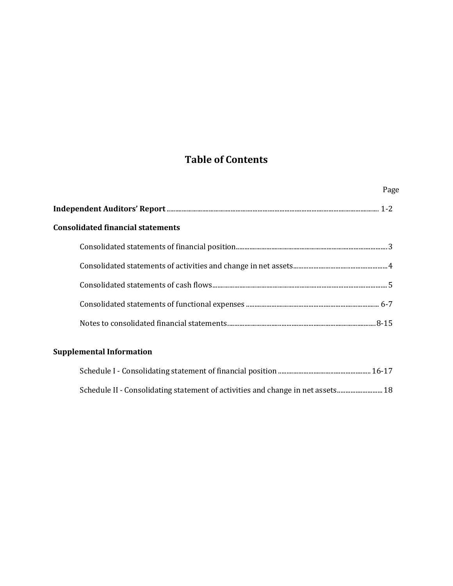# **Table of Contents**

| Page |
|------|
|      |
|      |
|      |
|      |
|      |
|      |
|      |
|      |

# **Supplemental Information**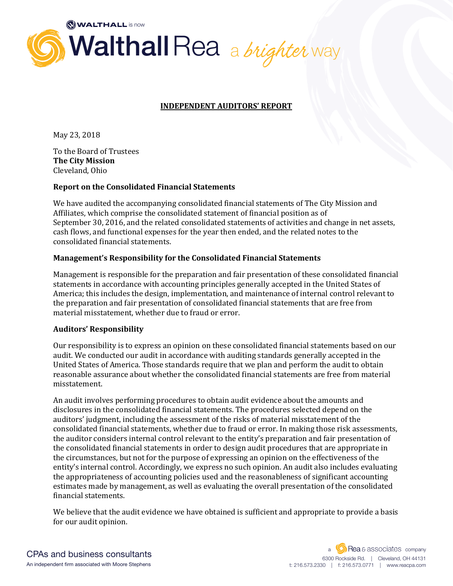

# **INDEPENDENT AUDITORS' REPORT**

May 23, 2018

To the Board of Trustees **The City Mission** Cleveland, Ohio

#### **Report on the Consolidated Financial Statements**

We have audited the accompanying consolidated financial statements of The City Mission and Affiliates, which comprise the consolidated statement of financial position as of September 30, 2016, and the related consolidated statements of activities and change in net assets, cash flows, and functional expenses for the year then ended, and the related notes to the consolidated financial statements.

#### **Management's Responsibility for the Consolidated Financial Statements**

Management is responsible for the preparation and fair presentation of these consolidated financial statements in accordance with accounting principles generally accepted in the United States of America; this includes the design, implementation, and maintenance of internal control relevant to the preparation and fair presentation of consolidated financial statements that are free from material misstatement, whether due to fraud or error.

#### **Auditors' Responsibility**

Our responsibility is to express an opinion on these consolidated financial statements based on our audit. We conducted our audit in accordance with auditing standards generally accepted in the United States of America. Those standards require that we plan and perform the audit to obtain reasonable assurance about whether the consolidated financial statements are free from material misstatement.

An audit involves performing procedures to obtain audit evidence about the amounts and disclosures in the consolidated financial statements. The procedures selected depend on the auditors' judgment, including the assessment of the risks of material misstatement of the consolidated financial statements, whether due to fraud or error. In making those risk assessments, the auditor considers internal control relevant to the entity's preparation and fair presentation of the consolidated financial statements in order to design audit procedures that are appropriate in the circumstances, but not for the purpose of expressing an opinion on the effectiveness of the entity's internal control. Accordingly, we express no such opinion. An audit also includes evaluating the appropriateness of accounting policies used and the reasonableness of significant accounting estimates made by management, as well as evaluating the overall presentation of the consolidated financial statements.

We believe that the audit evidence we have obtained is sufficient and appropriate to provide a basis for our audit opinion.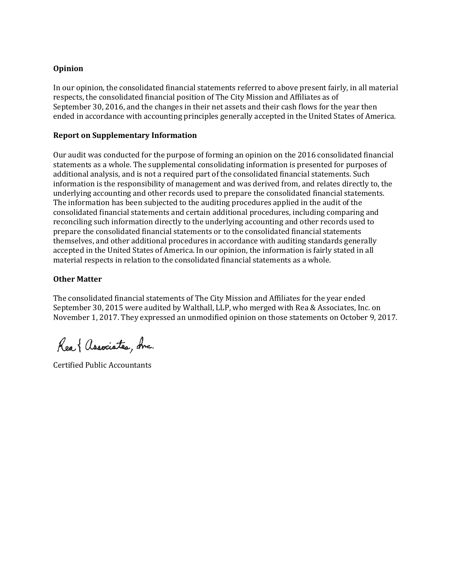#### **Opinion**

In our opinion, the consolidated financial statements referred to above present fairly, in all material respects, the consolidated financial position of The City Mission and Affiliates as of September 30, 2016, and the changes in their net assets and their cash flows for the year then ended in accordance with accounting principles generally accepted in the United States of America.

#### **Report on Supplementary Information**

Our audit was conducted for the purpose of forming an opinion on the 2016 consolidated financial statements as a whole. The supplemental consolidating information is presented for purposes of additional analysis, and is not a required part of the consolidated financial statements. Such information is the responsibility of management and was derived from, and relates directly to, the underlying accounting and other records used to prepare the consolidated financial statements. The information has been subjected to the auditing procedures applied in the audit of the consolidated financial statements and certain additional procedures, including comparing and reconciling such information directly to the underlying accounting and other records used to prepare the consolidated financial statements or to the consolidated financial statements themselves, and other additional procedures in accordance with auditing standards generally accepted in the United States of America. In our opinion, the information is fairly stated in all material respects in relation to the consolidated financial statements as a whole.

# **Other Matter**

The consolidated financial statements of The City Mission and Affiliates for the year ended September 30, 2015 were audited by Walthall, LLP, who merged with Rea & Associates, Inc. on November 1, 2017. They expressed an unmodified opinion on those statements on October 9, 2017.

Rea { Associates, due.

Certified Public Accountants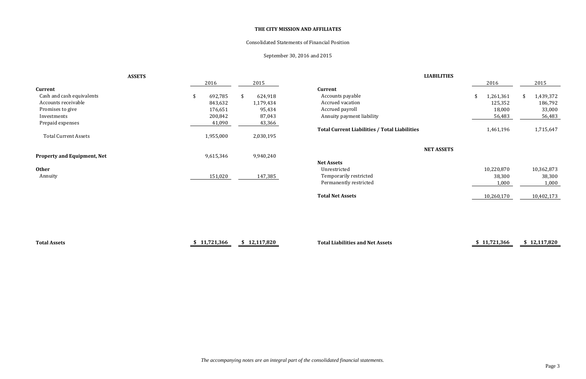| 2016            | 2015            |
|-----------------|-----------------|
|                 |                 |
| \$<br>1,261,361 | \$<br>1,439,372 |
| 125,352         | 186,792         |
| 18,000          | 33,000          |
| 56,483          | 56,483          |
|                 |                 |
| 1,461,196       | 1,715,647       |
|                 |                 |
|                 |                 |
|                 |                 |
|                 |                 |
|                 |                 |
| 10,220,870      | 10,362,873      |
| 38,300          | 38,300          |
| 1,000           | 1,000           |
|                 |                 |
| 10,260,170      | 10,402,173      |
|                 |                 |
|                 |                 |
|                 |                 |
|                 |                 |
|                 |                 |

|                                    | <b>ASSETS</b> |              |     |              | <b>LIABILITIES</b>                                   |                 |      |              |
|------------------------------------|---------------|--------------|-----|--------------|------------------------------------------------------|-----------------|------|--------------|
|                                    |               | 2016         |     | 2015         |                                                      | 2016            |      | 2015         |
| Current                            |               |              |     |              | <b>Current</b>                                       |                 |      |              |
| Cash and cash equivalents          | \$            | 692,785      | \$. | 624,918      | Accounts payable                                     | \$<br>1,261,361 | - \$ | 1,439,372    |
| Accounts receivable                |               | 843,632      |     | 1,179,434    | Accrued vacation                                     | 125,352         |      | 186,792      |
| Promises to give                   |               | 176,651      |     | 95,434       | Accrued payroll                                      | 18,000          |      | 33,000       |
| Investments                        |               | 200,842      |     | 87,043       | Annuity payment liability                            | 56,483          |      | 56,483       |
| Prepaid expenses                   |               | 41,090       |     | 43,366       |                                                      |                 |      |              |
|                                    |               |              |     |              | <b>Total Current Liabilities / Total Liabilities</b> | 1,461,196       |      | 1,715,647    |
| <b>Total Current Assets</b>        |               | 1,955,000    |     | 2,030,195    |                                                      |                 |      |              |
|                                    |               |              |     |              | <b>NET ASSETS</b>                                    |                 |      |              |
| <b>Property and Equipment, Net</b> |               | 9,615,346    |     | 9,940,240    |                                                      |                 |      |              |
|                                    |               |              |     |              | <b>Net Assets</b>                                    |                 |      |              |
| <b>Other</b>                       |               |              |     |              | Unrestricted                                         | 10,220,870      |      | 10,362,873   |
| Annuity                            |               | 151,020      |     | 147,385      | Temporarily restricted                               | 38,300          |      | 38,300       |
|                                    |               |              |     |              | Permanently restricted                               | 1,000           |      | 1,000        |
|                                    |               |              |     |              | <b>Total Net Assets</b>                              | 10,260,170      |      | 10,402,173   |
|                                    |               |              |     |              |                                                      |                 |      |              |
|                                    |               |              |     |              |                                                      |                 |      |              |
|                                    |               |              |     |              |                                                      |                 |      |              |
|                                    |               |              |     |              |                                                      |                 |      |              |
| <b>Total Assets</b>                |               | \$11,721,366 |     | \$12,117,820 | <b>Total Liabilities and Net Assets</b>              | \$11,721,366    |      | \$12,117,820 |
|                                    |               |              |     |              |                                                      |                 |      |              |

# Consolidated Statements of Financial Position

# September 30, 2016 and 2015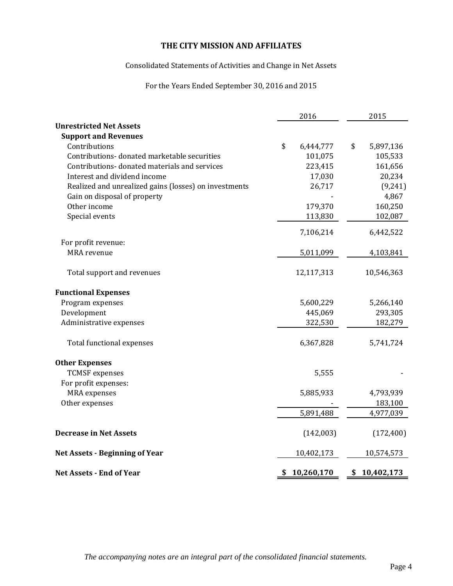### Consolidated Statements of Activities and Change in Net Assets

# For the Years Ended September 30, 2016 and 2015

|                                                       |    | 2016       | 2015             |
|-------------------------------------------------------|----|------------|------------------|
| <b>Unrestricted Net Assets</b>                        |    |            |                  |
| <b>Support and Revenues</b>                           |    |            |                  |
| Contributions                                         | \$ | 6,444,777  | \$<br>5,897,136  |
| Contributions-donated marketable securities           |    | 101,075    | 105,533          |
| Contributions-donated materials and services          |    | 223,415    | 161,656          |
| Interest and dividend income                          |    | 17,030     | 20,234           |
| Realized and unrealized gains (losses) on investments |    | 26,717     | (9, 241)         |
| Gain on disposal of property                          |    |            | 4,867            |
| Other income                                          |    | 179,370    | 160,250          |
| Special events                                        |    | 113,830    | 102,087          |
|                                                       |    | 7,106,214  | 6,442,522        |
| For profit revenue:                                   |    |            |                  |
| <b>MRA</b> revenue                                    |    | 5,011,099  | 4,103,841        |
| Total support and revenues                            |    | 12,117,313 | 10,546,363       |
| <b>Functional Expenses</b>                            |    |            |                  |
| Program expenses                                      |    | 5,600,229  | 5,266,140        |
| Development                                           |    | 445,069    | 293,305          |
| Administrative expenses                               |    | 322,530    | 182,279          |
| Total functional expenses                             |    | 6,367,828  | 5,741,724        |
| <b>Other Expenses</b>                                 |    |            |                  |
| <b>TCMSF</b> expenses                                 |    | 5,555      |                  |
| For profit expenses:                                  |    |            |                  |
| MRA expenses                                          |    | 5,885,933  | 4,793,939        |
| Other expenses                                        |    |            | 183,100          |
|                                                       |    | 5,891,488  | 4,977,039        |
| <b>Decrease in Net Assets</b>                         |    | (142,003)  | (172, 400)       |
| <b>Net Assets - Beginning of Year</b>                 |    | 10,402,173 | 10,574,573       |
| Net Assets - End of Year                              | S  | 10,260,170 | \$<br>10,402,173 |

*The accompanying notes are an integral part of the consolidated financial statements.*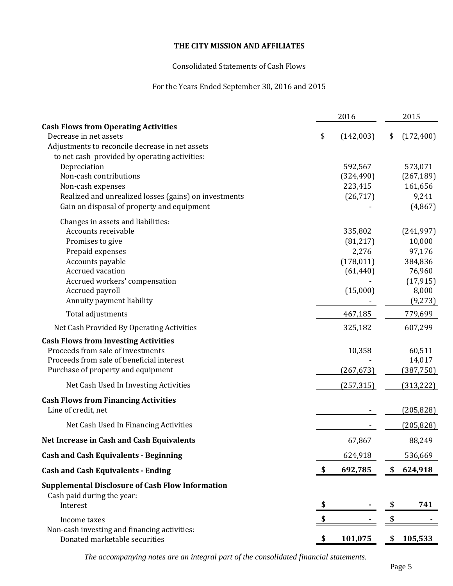# Consolidated Statements of Cash Flows

# For the Years Ended September 30, 2016 and 2015

|                                                                       | 2016                  | 2015                  |
|-----------------------------------------------------------------------|-----------------------|-----------------------|
| <b>Cash Flows from Operating Activities</b><br>Decrease in net assets | \$<br>(142,003)       | \$<br>(172, 400)      |
| Adjustments to reconcile decrease in net assets                       |                       |                       |
| to net cash provided by operating activities:                         |                       |                       |
| Depreciation                                                          | 592,567               | 573,071               |
| Non-cash contributions<br>Non-cash expenses                           | (324, 490)<br>223,415 | (267, 189)<br>161,656 |
| Realized and unrealized losses (gains) on investments                 | (26, 717)             | 9,241                 |
| Gain on disposal of property and equipment                            |                       | (4, 867)              |
| Changes in assets and liabilities:                                    |                       |                       |
| Accounts receivable                                                   | 335,802               | (241, 997)            |
| Promises to give                                                      | (81, 217)             | 10,000                |
| Prepaid expenses                                                      | 2,276                 | 97,176                |
| Accounts payable                                                      | (178, 011)            | 384,836               |
| Accrued vacation                                                      | (61, 440)             | 76,960                |
| Accrued workers' compensation<br>Accrued payroll                      | (15,000)              | (17, 915)<br>8,000    |
| Annuity payment liability                                             |                       | (9, 273)              |
|                                                                       |                       |                       |
| Total adjustments                                                     | 467,185               | 779,699               |
| Net Cash Provided By Operating Activities                             | 325,182               | 607,299               |
| <b>Cash Flows from Investing Activities</b>                           |                       |                       |
| Proceeds from sale of investments                                     | 10,358                | 60,511                |
| Proceeds from sale of beneficial interest                             |                       | 14,017                |
| Purchase of property and equipment                                    | (267, 673)            | (387, 750)            |
| Net Cash Used In Investing Activities                                 | (257, 315)            | (313, 222)            |
| <b>Cash Flows from Financing Activities</b>                           |                       |                       |
| Line of credit, net                                                   |                       | (205, 828)            |
| Net Cash Used In Financing Activities                                 |                       | (205, 828)            |
| <b>Net Increase in Cash and Cash Equivalents</b>                      | 67,867                | 88,249                |
| <b>Cash and Cash Equivalents - Beginning</b>                          | 624,918               | 536,669               |
| <b>Cash and Cash Equivalents - Ending</b>                             | 692,785               | \$<br>624,918         |
| <b>Supplemental Disclosure of Cash Flow Information</b>               |                       |                       |
| Cash paid during the year:                                            |                       |                       |
| Interest                                                              |                       | \$<br>741             |
| Income taxes                                                          |                       | \$                    |
| Non-cash investing and financing activities:                          |                       |                       |
| Donated marketable securities                                         | 101,075               | \$105,533             |

*The accompanying notes are an integral part of the consolidated financial statements.*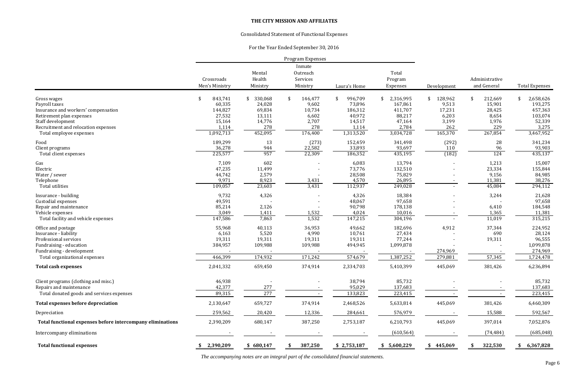*The accompanying notes are an integral part of the consolidated financial statements.*

# **THE CITY MISSION AND AFFILIATES**

# Consolidated Statement of Functional Expenses

For the Year Ended September 30, 2016

| Inmate<br>Total<br>Mental<br>Outreach<br>Health<br>Services<br>Crossroads<br>Program<br>Administrative<br>Men's Ministry<br>and General<br>Ministry<br>Ministry<br>Laura's Home<br>Expenses<br>Development<br>843,741<br>330,068<br>146,477<br>996,709<br>2,316,995<br>128,962<br>212,669<br>-\$<br>\$<br>\$<br>Gross wages<br>\$<br>\$<br>\$<br>\$<br>60,335<br>24,028<br>9,602<br>9,513<br>73,896<br>167,861<br>15,901<br>Payroll taxes<br>69,834<br>186,312<br>144,827<br>10,734<br>411,707<br>17,231<br>28,425<br>Insurance and workers' compensation<br>88,217<br>6,203<br>27,532<br>13,111<br>6,602<br>40,972<br>8,654<br>Retirement plan expenses<br>2,707<br>15,164<br>14,776<br>14,517<br>47,164<br>3,199<br>1,976<br>Staff development<br>278<br>278<br>2,784<br>229<br>1,114<br>262<br>1,114<br>Recruitment and relocation expenses<br>1,092,713<br>165,370<br>452,095<br>1,313,520<br>3,034,728<br>267,854<br>176,400<br>Total employee expenses<br>Food<br>189,299<br>13<br>(273)<br>152,459<br>341,498<br>(292)<br>28<br>36,278<br>944<br>22,582<br>33,893<br>93,697<br>110<br>96<br>Client programs<br>(182)<br>225,577<br>957<br>124<br>Total client expenses<br>22,309<br>186,352<br>435,195<br>602<br>Gas<br>7,109<br>6,083<br>13,794<br>1,213<br>47,235<br>Electric<br>11,499<br>73,776<br>132,510<br>23,334<br>44,742<br>2,579<br>28,508<br>75,829<br>9,156<br>Water / sewer<br>8,923<br>9,971<br>3,431<br>4,570<br>26,895<br>11,381<br>Telephone<br>109,057<br>23,603<br>3,431<br>112,937<br>249,028<br>Total utilities<br>45,084<br>9,732<br>4,326<br>4,326<br>18,384<br>3,244<br>Insurance - building<br>49,591<br>48,067<br>97,658<br>Custodial expenses<br>85,214<br>2,126<br>90,798<br>178,138<br>Repair and maintenance<br>6,410<br>3,049<br>1,411<br>1,532<br>4,024<br>10,016<br>1,365<br>Vehicle expenses<br>1,532<br>147,586<br>7,863<br>147,215<br>304,196<br>11,019<br>Total facility and vehicle expenses<br>4,912<br>55,968<br>40,113<br>49,662<br>182,696<br>37,344<br>36,953<br>Office and postage<br>5,520<br>4,990<br>6,163<br>10,761<br>27,434<br>690<br>Insurance - liability<br>19,311<br>19,311<br>19,311<br>19,311<br>19,311<br>77,244<br>Professional services<br>384,957<br>109,988<br>109,988<br>494,945<br>1,099,878<br>Fundraising - education<br>274,969<br>Fundraising - development<br>174,932<br>1,387,252<br>466,399<br>171,242<br>574,679<br>57,345<br>279,881<br>Total organizational expenses<br>2,041,332<br>2,334,703<br>5,410,399<br>381,426<br>659,450<br>374,914<br>445,069<br><b>Total cash expenses</b><br>Client programs (clothing and misc.)<br>46,938<br>38,794<br>85,732<br>Repairs and maintenance<br>42,377<br>95,029<br>137,683<br>277<br>277<br>Total donated goods and services expenses<br>89,315<br>223,415<br>133,823<br><b>Total expenses before depreciation</b><br>659,727<br>374,914<br>445,069<br>381,426<br>2,130,647<br>2,468,526<br>5,633,814<br>576,979<br>Depreciation<br>259,562<br>20,420<br>12,336<br>284,661<br>15,588 |                       |
|------------------------------------------------------------------------------------------------------------------------------------------------------------------------------------------------------------------------------------------------------------------------------------------------------------------------------------------------------------------------------------------------------------------------------------------------------------------------------------------------------------------------------------------------------------------------------------------------------------------------------------------------------------------------------------------------------------------------------------------------------------------------------------------------------------------------------------------------------------------------------------------------------------------------------------------------------------------------------------------------------------------------------------------------------------------------------------------------------------------------------------------------------------------------------------------------------------------------------------------------------------------------------------------------------------------------------------------------------------------------------------------------------------------------------------------------------------------------------------------------------------------------------------------------------------------------------------------------------------------------------------------------------------------------------------------------------------------------------------------------------------------------------------------------------------------------------------------------------------------------------------------------------------------------------------------------------------------------------------------------------------------------------------------------------------------------------------------------------------------------------------------------------------------------------------------------------------------------------------------------------------------------------------------------------------------------------------------------------------------------------------------------------------------------------------------------------------------------------------------------------------------------------------------------------------------------------------------------------------------------------------------------------------------------------------------------------------------------------------------------------------------------------------------------------------------------------------------------------------------------------------------------------------------------------------------------------------------------------------------------------------------|-----------------------|
|                                                                                                                                                                                                                                                                                                                                                                                                                                                                                                                                                                                                                                                                                                                                                                                                                                                                                                                                                                                                                                                                                                                                                                                                                                                                                                                                                                                                                                                                                                                                                                                                                                                                                                                                                                                                                                                                                                                                                                                                                                                                                                                                                                                                                                                                                                                                                                                                                                                                                                                                                                                                                                                                                                                                                                                                                                                                                                                                                                                                                  | <b>Total Expenses</b> |
|                                                                                                                                                                                                                                                                                                                                                                                                                                                                                                                                                                                                                                                                                                                                                                                                                                                                                                                                                                                                                                                                                                                                                                                                                                                                                                                                                                                                                                                                                                                                                                                                                                                                                                                                                                                                                                                                                                                                                                                                                                                                                                                                                                                                                                                                                                                                                                                                                                                                                                                                                                                                                                                                                                                                                                                                                                                                                                                                                                                                                  |                       |
|                                                                                                                                                                                                                                                                                                                                                                                                                                                                                                                                                                                                                                                                                                                                                                                                                                                                                                                                                                                                                                                                                                                                                                                                                                                                                                                                                                                                                                                                                                                                                                                                                                                                                                                                                                                                                                                                                                                                                                                                                                                                                                                                                                                                                                                                                                                                                                                                                                                                                                                                                                                                                                                                                                                                                                                                                                                                                                                                                                                                                  | 2,658,626             |
|                                                                                                                                                                                                                                                                                                                                                                                                                                                                                                                                                                                                                                                                                                                                                                                                                                                                                                                                                                                                                                                                                                                                                                                                                                                                                                                                                                                                                                                                                                                                                                                                                                                                                                                                                                                                                                                                                                                                                                                                                                                                                                                                                                                                                                                                                                                                                                                                                                                                                                                                                                                                                                                                                                                                                                                                                                                                                                                                                                                                                  | 193,275               |
|                                                                                                                                                                                                                                                                                                                                                                                                                                                                                                                                                                                                                                                                                                                                                                                                                                                                                                                                                                                                                                                                                                                                                                                                                                                                                                                                                                                                                                                                                                                                                                                                                                                                                                                                                                                                                                                                                                                                                                                                                                                                                                                                                                                                                                                                                                                                                                                                                                                                                                                                                                                                                                                                                                                                                                                                                                                                                                                                                                                                                  | 457,363               |
|                                                                                                                                                                                                                                                                                                                                                                                                                                                                                                                                                                                                                                                                                                                                                                                                                                                                                                                                                                                                                                                                                                                                                                                                                                                                                                                                                                                                                                                                                                                                                                                                                                                                                                                                                                                                                                                                                                                                                                                                                                                                                                                                                                                                                                                                                                                                                                                                                                                                                                                                                                                                                                                                                                                                                                                                                                                                                                                                                                                                                  | 103,074               |
|                                                                                                                                                                                                                                                                                                                                                                                                                                                                                                                                                                                                                                                                                                                                                                                                                                                                                                                                                                                                                                                                                                                                                                                                                                                                                                                                                                                                                                                                                                                                                                                                                                                                                                                                                                                                                                                                                                                                                                                                                                                                                                                                                                                                                                                                                                                                                                                                                                                                                                                                                                                                                                                                                                                                                                                                                                                                                                                                                                                                                  | 52,339                |
|                                                                                                                                                                                                                                                                                                                                                                                                                                                                                                                                                                                                                                                                                                                                                                                                                                                                                                                                                                                                                                                                                                                                                                                                                                                                                                                                                                                                                                                                                                                                                                                                                                                                                                                                                                                                                                                                                                                                                                                                                                                                                                                                                                                                                                                                                                                                                                                                                                                                                                                                                                                                                                                                                                                                                                                                                                                                                                                                                                                                                  | 3,275                 |
|                                                                                                                                                                                                                                                                                                                                                                                                                                                                                                                                                                                                                                                                                                                                                                                                                                                                                                                                                                                                                                                                                                                                                                                                                                                                                                                                                                                                                                                                                                                                                                                                                                                                                                                                                                                                                                                                                                                                                                                                                                                                                                                                                                                                                                                                                                                                                                                                                                                                                                                                                                                                                                                                                                                                                                                                                                                                                                                                                                                                                  | 3,467,952             |
|                                                                                                                                                                                                                                                                                                                                                                                                                                                                                                                                                                                                                                                                                                                                                                                                                                                                                                                                                                                                                                                                                                                                                                                                                                                                                                                                                                                                                                                                                                                                                                                                                                                                                                                                                                                                                                                                                                                                                                                                                                                                                                                                                                                                                                                                                                                                                                                                                                                                                                                                                                                                                                                                                                                                                                                                                                                                                                                                                                                                                  | 341,234               |
|                                                                                                                                                                                                                                                                                                                                                                                                                                                                                                                                                                                                                                                                                                                                                                                                                                                                                                                                                                                                                                                                                                                                                                                                                                                                                                                                                                                                                                                                                                                                                                                                                                                                                                                                                                                                                                                                                                                                                                                                                                                                                                                                                                                                                                                                                                                                                                                                                                                                                                                                                                                                                                                                                                                                                                                                                                                                                                                                                                                                                  | 93,903                |
|                                                                                                                                                                                                                                                                                                                                                                                                                                                                                                                                                                                                                                                                                                                                                                                                                                                                                                                                                                                                                                                                                                                                                                                                                                                                                                                                                                                                                                                                                                                                                                                                                                                                                                                                                                                                                                                                                                                                                                                                                                                                                                                                                                                                                                                                                                                                                                                                                                                                                                                                                                                                                                                                                                                                                                                                                                                                                                                                                                                                                  | 435,137               |
|                                                                                                                                                                                                                                                                                                                                                                                                                                                                                                                                                                                                                                                                                                                                                                                                                                                                                                                                                                                                                                                                                                                                                                                                                                                                                                                                                                                                                                                                                                                                                                                                                                                                                                                                                                                                                                                                                                                                                                                                                                                                                                                                                                                                                                                                                                                                                                                                                                                                                                                                                                                                                                                                                                                                                                                                                                                                                                                                                                                                                  | 15,007                |
|                                                                                                                                                                                                                                                                                                                                                                                                                                                                                                                                                                                                                                                                                                                                                                                                                                                                                                                                                                                                                                                                                                                                                                                                                                                                                                                                                                                                                                                                                                                                                                                                                                                                                                                                                                                                                                                                                                                                                                                                                                                                                                                                                                                                                                                                                                                                                                                                                                                                                                                                                                                                                                                                                                                                                                                                                                                                                                                                                                                                                  | 155,844               |
|                                                                                                                                                                                                                                                                                                                                                                                                                                                                                                                                                                                                                                                                                                                                                                                                                                                                                                                                                                                                                                                                                                                                                                                                                                                                                                                                                                                                                                                                                                                                                                                                                                                                                                                                                                                                                                                                                                                                                                                                                                                                                                                                                                                                                                                                                                                                                                                                                                                                                                                                                                                                                                                                                                                                                                                                                                                                                                                                                                                                                  | 84,985                |
|                                                                                                                                                                                                                                                                                                                                                                                                                                                                                                                                                                                                                                                                                                                                                                                                                                                                                                                                                                                                                                                                                                                                                                                                                                                                                                                                                                                                                                                                                                                                                                                                                                                                                                                                                                                                                                                                                                                                                                                                                                                                                                                                                                                                                                                                                                                                                                                                                                                                                                                                                                                                                                                                                                                                                                                                                                                                                                                                                                                                                  | 38,276                |
|                                                                                                                                                                                                                                                                                                                                                                                                                                                                                                                                                                                                                                                                                                                                                                                                                                                                                                                                                                                                                                                                                                                                                                                                                                                                                                                                                                                                                                                                                                                                                                                                                                                                                                                                                                                                                                                                                                                                                                                                                                                                                                                                                                                                                                                                                                                                                                                                                                                                                                                                                                                                                                                                                                                                                                                                                                                                                                                                                                                                                  | 294,112               |
|                                                                                                                                                                                                                                                                                                                                                                                                                                                                                                                                                                                                                                                                                                                                                                                                                                                                                                                                                                                                                                                                                                                                                                                                                                                                                                                                                                                                                                                                                                                                                                                                                                                                                                                                                                                                                                                                                                                                                                                                                                                                                                                                                                                                                                                                                                                                                                                                                                                                                                                                                                                                                                                                                                                                                                                                                                                                                                                                                                                                                  | 21,628                |
|                                                                                                                                                                                                                                                                                                                                                                                                                                                                                                                                                                                                                                                                                                                                                                                                                                                                                                                                                                                                                                                                                                                                                                                                                                                                                                                                                                                                                                                                                                                                                                                                                                                                                                                                                                                                                                                                                                                                                                                                                                                                                                                                                                                                                                                                                                                                                                                                                                                                                                                                                                                                                                                                                                                                                                                                                                                                                                                                                                                                                  | 97,658                |
|                                                                                                                                                                                                                                                                                                                                                                                                                                                                                                                                                                                                                                                                                                                                                                                                                                                                                                                                                                                                                                                                                                                                                                                                                                                                                                                                                                                                                                                                                                                                                                                                                                                                                                                                                                                                                                                                                                                                                                                                                                                                                                                                                                                                                                                                                                                                                                                                                                                                                                                                                                                                                                                                                                                                                                                                                                                                                                                                                                                                                  | 184,548               |
|                                                                                                                                                                                                                                                                                                                                                                                                                                                                                                                                                                                                                                                                                                                                                                                                                                                                                                                                                                                                                                                                                                                                                                                                                                                                                                                                                                                                                                                                                                                                                                                                                                                                                                                                                                                                                                                                                                                                                                                                                                                                                                                                                                                                                                                                                                                                                                                                                                                                                                                                                                                                                                                                                                                                                                                                                                                                                                                                                                                                                  | 11,381                |
|                                                                                                                                                                                                                                                                                                                                                                                                                                                                                                                                                                                                                                                                                                                                                                                                                                                                                                                                                                                                                                                                                                                                                                                                                                                                                                                                                                                                                                                                                                                                                                                                                                                                                                                                                                                                                                                                                                                                                                                                                                                                                                                                                                                                                                                                                                                                                                                                                                                                                                                                                                                                                                                                                                                                                                                                                                                                                                                                                                                                                  | 315,215               |
|                                                                                                                                                                                                                                                                                                                                                                                                                                                                                                                                                                                                                                                                                                                                                                                                                                                                                                                                                                                                                                                                                                                                                                                                                                                                                                                                                                                                                                                                                                                                                                                                                                                                                                                                                                                                                                                                                                                                                                                                                                                                                                                                                                                                                                                                                                                                                                                                                                                                                                                                                                                                                                                                                                                                                                                                                                                                                                                                                                                                                  | 224,952               |
|                                                                                                                                                                                                                                                                                                                                                                                                                                                                                                                                                                                                                                                                                                                                                                                                                                                                                                                                                                                                                                                                                                                                                                                                                                                                                                                                                                                                                                                                                                                                                                                                                                                                                                                                                                                                                                                                                                                                                                                                                                                                                                                                                                                                                                                                                                                                                                                                                                                                                                                                                                                                                                                                                                                                                                                                                                                                                                                                                                                                                  | 28,124                |
|                                                                                                                                                                                                                                                                                                                                                                                                                                                                                                                                                                                                                                                                                                                                                                                                                                                                                                                                                                                                                                                                                                                                                                                                                                                                                                                                                                                                                                                                                                                                                                                                                                                                                                                                                                                                                                                                                                                                                                                                                                                                                                                                                                                                                                                                                                                                                                                                                                                                                                                                                                                                                                                                                                                                                                                                                                                                                                                                                                                                                  | 96,555                |
|                                                                                                                                                                                                                                                                                                                                                                                                                                                                                                                                                                                                                                                                                                                                                                                                                                                                                                                                                                                                                                                                                                                                                                                                                                                                                                                                                                                                                                                                                                                                                                                                                                                                                                                                                                                                                                                                                                                                                                                                                                                                                                                                                                                                                                                                                                                                                                                                                                                                                                                                                                                                                                                                                                                                                                                                                                                                                                                                                                                                                  | 1,099,878             |
|                                                                                                                                                                                                                                                                                                                                                                                                                                                                                                                                                                                                                                                                                                                                                                                                                                                                                                                                                                                                                                                                                                                                                                                                                                                                                                                                                                                                                                                                                                                                                                                                                                                                                                                                                                                                                                                                                                                                                                                                                                                                                                                                                                                                                                                                                                                                                                                                                                                                                                                                                                                                                                                                                                                                                                                                                                                                                                                                                                                                                  | 274,969               |
|                                                                                                                                                                                                                                                                                                                                                                                                                                                                                                                                                                                                                                                                                                                                                                                                                                                                                                                                                                                                                                                                                                                                                                                                                                                                                                                                                                                                                                                                                                                                                                                                                                                                                                                                                                                                                                                                                                                                                                                                                                                                                                                                                                                                                                                                                                                                                                                                                                                                                                                                                                                                                                                                                                                                                                                                                                                                                                                                                                                                                  | 1,724,478             |
|                                                                                                                                                                                                                                                                                                                                                                                                                                                                                                                                                                                                                                                                                                                                                                                                                                                                                                                                                                                                                                                                                                                                                                                                                                                                                                                                                                                                                                                                                                                                                                                                                                                                                                                                                                                                                                                                                                                                                                                                                                                                                                                                                                                                                                                                                                                                                                                                                                                                                                                                                                                                                                                                                                                                                                                                                                                                                                                                                                                                                  | 6,236,894             |
|                                                                                                                                                                                                                                                                                                                                                                                                                                                                                                                                                                                                                                                                                                                                                                                                                                                                                                                                                                                                                                                                                                                                                                                                                                                                                                                                                                                                                                                                                                                                                                                                                                                                                                                                                                                                                                                                                                                                                                                                                                                                                                                                                                                                                                                                                                                                                                                                                                                                                                                                                                                                                                                                                                                                                                                                                                                                                                                                                                                                                  |                       |
|                                                                                                                                                                                                                                                                                                                                                                                                                                                                                                                                                                                                                                                                                                                                                                                                                                                                                                                                                                                                                                                                                                                                                                                                                                                                                                                                                                                                                                                                                                                                                                                                                                                                                                                                                                                                                                                                                                                                                                                                                                                                                                                                                                                                                                                                                                                                                                                                                                                                                                                                                                                                                                                                                                                                                                                                                                                                                                                                                                                                                  | 85,732                |
|                                                                                                                                                                                                                                                                                                                                                                                                                                                                                                                                                                                                                                                                                                                                                                                                                                                                                                                                                                                                                                                                                                                                                                                                                                                                                                                                                                                                                                                                                                                                                                                                                                                                                                                                                                                                                                                                                                                                                                                                                                                                                                                                                                                                                                                                                                                                                                                                                                                                                                                                                                                                                                                                                                                                                                                                                                                                                                                                                                                                                  | 137,683               |
|                                                                                                                                                                                                                                                                                                                                                                                                                                                                                                                                                                                                                                                                                                                                                                                                                                                                                                                                                                                                                                                                                                                                                                                                                                                                                                                                                                                                                                                                                                                                                                                                                                                                                                                                                                                                                                                                                                                                                                                                                                                                                                                                                                                                                                                                                                                                                                                                                                                                                                                                                                                                                                                                                                                                                                                                                                                                                                                                                                                                                  | 223,415               |
|                                                                                                                                                                                                                                                                                                                                                                                                                                                                                                                                                                                                                                                                                                                                                                                                                                                                                                                                                                                                                                                                                                                                                                                                                                                                                                                                                                                                                                                                                                                                                                                                                                                                                                                                                                                                                                                                                                                                                                                                                                                                                                                                                                                                                                                                                                                                                                                                                                                                                                                                                                                                                                                                                                                                                                                                                                                                                                                                                                                                                  | 6,460,309             |
|                                                                                                                                                                                                                                                                                                                                                                                                                                                                                                                                                                                                                                                                                                                                                                                                                                                                                                                                                                                                                                                                                                                                                                                                                                                                                                                                                                                                                                                                                                                                                                                                                                                                                                                                                                                                                                                                                                                                                                                                                                                                                                                                                                                                                                                                                                                                                                                                                                                                                                                                                                                                                                                                                                                                                                                                                                                                                                                                                                                                                  | 592,567               |
| 445,069<br>Total functional expenses before intercompany eliminations<br>2,390,209<br>680,147<br>387,250<br>2,753,187<br>6,210,793<br>397,014                                                                                                                                                                                                                                                                                                                                                                                                                                                                                                                                                                                                                                                                                                                                                                                                                                                                                                                                                                                                                                                                                                                                                                                                                                                                                                                                                                                                                                                                                                                                                                                                                                                                                                                                                                                                                                                                                                                                                                                                                                                                                                                                                                                                                                                                                                                                                                                                                                                                                                                                                                                                                                                                                                                                                                                                                                                                    | 7,052,876             |
| Intercompany eliminations<br>(74, 484)<br>(610, 564)                                                                                                                                                                                                                                                                                                                                                                                                                                                                                                                                                                                                                                                                                                                                                                                                                                                                                                                                                                                                                                                                                                                                                                                                                                                                                                                                                                                                                                                                                                                                                                                                                                                                                                                                                                                                                                                                                                                                                                                                                                                                                                                                                                                                                                                                                                                                                                                                                                                                                                                                                                                                                                                                                                                                                                                                                                                                                                                                                             | (685, 048)            |
| <b>Total functional expenses</b><br>\$680,147<br>2,390,209<br>387,250<br>\$2,753,187<br>\$5,600,229<br>\$445,069<br>322,530<br>SS.<br>S,<br>-SS<br>- 5                                                                                                                                                                                                                                                                                                                                                                                                                                                                                                                                                                                                                                                                                                                                                                                                                                                                                                                                                                                                                                                                                                                                                                                                                                                                                                                                                                                                                                                                                                                                                                                                                                                                                                                                                                                                                                                                                                                                                                                                                                                                                                                                                                                                                                                                                                                                                                                                                                                                                                                                                                                                                                                                                                                                                                                                                                                           | 6,367,828             |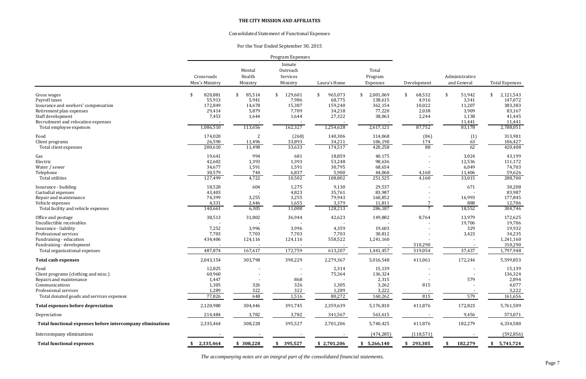*The accompanying notes are an integral part of the consolidated financial statements.*

# **THE CITY MISSION AND AFFILIATES**

# Consolidated Statement of Functional Expenses

# For the Year Ended September 30, 2015

| Inmate<br>Mental<br>Total<br>Outreach<br>Health<br>Crossroads<br>Administrative<br>Services<br>Program<br>and General<br>Men's Ministry<br>Ministry<br>Ministry<br>Laura's Home<br>Expenses<br>Development<br>820,881<br>129,601<br>965,073<br>2,001,069<br>51,942<br>85,514<br>68,532<br>Gross wages<br>\$<br>\$<br>\$<br>-\$<br>\$<br>\$<br>\$<br>55,913<br>5,941<br>7,986<br>68,775<br>138,615<br>4,916<br>3,541<br>Payroll taxes<br>172,849<br>14,678<br>15,387<br>159,240<br>362,154<br>10,022<br>11,207<br>Insurance and workers' compensation<br>5,879<br>7,709<br>34,218<br>77,220<br>2,038<br>3,909<br>29,414<br>Retirement plan expenses<br>27,322<br>38,063<br>7,453<br>1,644<br>2,244<br>Staff development<br>1,644<br>1,138<br>Recruitment and relocation expenses<br>11,441<br>162,327<br>87,752<br>1,086,510<br>113,656<br>1,254,628<br>2,617,121<br>83,178<br>Total employee expenses<br>174,020<br>$\overline{c}$<br>(260)<br>140,306<br>314,068<br>(1)<br>Food<br>(86)<br>26,590<br>11,496<br>33,893<br>34,211<br>106,190<br>174<br>63<br>Client programs<br>174,517<br>88<br>62<br>200,610<br>11,498<br>33,633<br>420,258<br>Total client expenses<br>19,641<br>994<br>18,859<br>40,175<br>Gas<br>681<br>3,024<br>Electric<br>1,393<br>98,636<br>42,602<br>1,393<br>53,248<br>12,536<br>34,677<br>1,591<br>30,795<br>6,049<br>Water / sewer<br>1,591<br>68,654<br>30,579<br>744<br>6,837<br>5,900<br>44,060<br>11,406<br>Telephone<br>4,160<br>Total utilities<br>127,499<br>4,722<br>10,502<br>251,525<br>4,160<br>33,015<br>108,802<br>18,528<br>604<br>1,275<br>9,130<br>29,537<br>671<br>Insurance - building<br>4,823<br>43,403<br>35,761<br>83,987<br>Custodial expenses<br>74,399<br>3,255<br>3,255<br>79,943<br>160,852<br>Repair and maintenance<br>16,993<br>4,331<br>1,655<br>3,379<br>11,811<br>888<br>Vehicle expenses<br>2,446<br>18,552<br>140,661<br>6,305<br>11,008<br>128,213<br>$\overline{7}$<br>Total facility and vehicle expenses<br>286,187<br>8,764<br>38,513<br>31,802<br>36,944<br>42,623<br>149,882<br>13,979<br>Office and postage<br>Uncollectible receivables<br>19,706<br>329<br>7,252<br>3,996<br>3,996<br>4,359<br>19,603<br>Insurance - liability<br>7,703<br>Professional services<br>7,703<br>7,703<br>7,703<br>30,812<br>3,423<br>124,116<br>558,522<br>Fundraising - education<br>434,406<br>124,116<br>1,241,160<br>Fundraising - development<br>310,290<br>487,874<br>167,617<br>172,759<br>613,207<br>1,441,457<br>319,054<br>37,437<br>Total organizational expenses<br>2,043,154<br>303,798<br>390,229<br>2,279,367<br>411,061<br>172,244<br><b>Total cash expenses</b><br>5,016,548<br>12,825<br>2,314<br>15,139<br>Food<br>75,364<br>Client programs (clothing and misc.)<br>60,960<br>136,324<br>2,315<br>579<br>Repairs and maintenance<br>1,447<br>868<br>Communications<br>1,305<br>326<br>326<br>1,305<br>3,262<br>815<br>Professional services<br>322<br>1,289<br>322<br>3,222<br>1,289<br>579<br>77,826<br>815<br>Total donated goods and services expenses<br>648<br>1,516<br>80,272<br>160,262<br>172,823<br><b>Total expenses before depreciation</b><br>2,120,980<br>304,446<br>391,745<br>411,876<br>2,359,639<br>5,176,810<br>3,782<br>3,782<br>214,484<br>341,567<br>563,615<br>9,456<br>Depreciation<br>308,228<br>2,335,464<br>395,527<br>411,876<br>182,279<br>Total functional expenses before intercompany eliminations<br>2,701,206<br>5,740,425<br>Intercompany eliminations<br>(118, 571)<br>(474, 285)<br>2,335,464<br>\$308,228<br>\$395,527<br><b>Total functional expenses</b><br>\$2,701,206<br>\$293,305<br>182,279<br>\$5,266,140 |  | Program Expenses |  |  |                       |
|---------------------------------------------------------------------------------------------------------------------------------------------------------------------------------------------------------------------------------------------------------------------------------------------------------------------------------------------------------------------------------------------------------------------------------------------------------------------------------------------------------------------------------------------------------------------------------------------------------------------------------------------------------------------------------------------------------------------------------------------------------------------------------------------------------------------------------------------------------------------------------------------------------------------------------------------------------------------------------------------------------------------------------------------------------------------------------------------------------------------------------------------------------------------------------------------------------------------------------------------------------------------------------------------------------------------------------------------------------------------------------------------------------------------------------------------------------------------------------------------------------------------------------------------------------------------------------------------------------------------------------------------------------------------------------------------------------------------------------------------------------------------------------------------------------------------------------------------------------------------------------------------------------------------------------------------------------------------------------------------------------------------------------------------------------------------------------------------------------------------------------------------------------------------------------------------------------------------------------------------------------------------------------------------------------------------------------------------------------------------------------------------------------------------------------------------------------------------------------------------------------------------------------------------------------------------------------------------------------------------------------------------------------------------------------------------------------------------------------------------------------------------------------------------------------------------------------------------------------------------------------------------------------------------------------------------------------------------------------------------------------------------------------------------------------------------------------------------------------------------------------------------------------------------------------------------------------------------------------------------------------------------------------------------------------------------------------------------------------------------------------------------------------------------------------------------------------------------------------------------------------------------------------------------------------------------------------------------------------------------------------|--|------------------|--|--|-----------------------|
|                                                                                                                                                                                                                                                                                                                                                                                                                                                                                                                                                                                                                                                                                                                                                                                                                                                                                                                                                                                                                                                                                                                                                                                                                                                                                                                                                                                                                                                                                                                                                                                                                                                                                                                                                                                                                                                                                                                                                                                                                                                                                                                                                                                                                                                                                                                                                                                                                                                                                                                                                                                                                                                                                                                                                                                                                                                                                                                                                                                                                                                                                                                                                                                                                                                                                                                                                                                                                                                                                                                                                                                                                                 |  |                  |  |  |                       |
|                                                                                                                                                                                                                                                                                                                                                                                                                                                                                                                                                                                                                                                                                                                                                                                                                                                                                                                                                                                                                                                                                                                                                                                                                                                                                                                                                                                                                                                                                                                                                                                                                                                                                                                                                                                                                                                                                                                                                                                                                                                                                                                                                                                                                                                                                                                                                                                                                                                                                                                                                                                                                                                                                                                                                                                                                                                                                                                                                                                                                                                                                                                                                                                                                                                                                                                                                                                                                                                                                                                                                                                                                                 |  |                  |  |  |                       |
|                                                                                                                                                                                                                                                                                                                                                                                                                                                                                                                                                                                                                                                                                                                                                                                                                                                                                                                                                                                                                                                                                                                                                                                                                                                                                                                                                                                                                                                                                                                                                                                                                                                                                                                                                                                                                                                                                                                                                                                                                                                                                                                                                                                                                                                                                                                                                                                                                                                                                                                                                                                                                                                                                                                                                                                                                                                                                                                                                                                                                                                                                                                                                                                                                                                                                                                                                                                                                                                                                                                                                                                                                                 |  |                  |  |  |                       |
|                                                                                                                                                                                                                                                                                                                                                                                                                                                                                                                                                                                                                                                                                                                                                                                                                                                                                                                                                                                                                                                                                                                                                                                                                                                                                                                                                                                                                                                                                                                                                                                                                                                                                                                                                                                                                                                                                                                                                                                                                                                                                                                                                                                                                                                                                                                                                                                                                                                                                                                                                                                                                                                                                                                                                                                                                                                                                                                                                                                                                                                                                                                                                                                                                                                                                                                                                                                                                                                                                                                                                                                                                                 |  |                  |  |  | <b>Total Expenses</b> |
|                                                                                                                                                                                                                                                                                                                                                                                                                                                                                                                                                                                                                                                                                                                                                                                                                                                                                                                                                                                                                                                                                                                                                                                                                                                                                                                                                                                                                                                                                                                                                                                                                                                                                                                                                                                                                                                                                                                                                                                                                                                                                                                                                                                                                                                                                                                                                                                                                                                                                                                                                                                                                                                                                                                                                                                                                                                                                                                                                                                                                                                                                                                                                                                                                                                                                                                                                                                                                                                                                                                                                                                                                                 |  |                  |  |  | 2,121,543             |
|                                                                                                                                                                                                                                                                                                                                                                                                                                                                                                                                                                                                                                                                                                                                                                                                                                                                                                                                                                                                                                                                                                                                                                                                                                                                                                                                                                                                                                                                                                                                                                                                                                                                                                                                                                                                                                                                                                                                                                                                                                                                                                                                                                                                                                                                                                                                                                                                                                                                                                                                                                                                                                                                                                                                                                                                                                                                                                                                                                                                                                                                                                                                                                                                                                                                                                                                                                                                                                                                                                                                                                                                                                 |  |                  |  |  | 147,072               |
|                                                                                                                                                                                                                                                                                                                                                                                                                                                                                                                                                                                                                                                                                                                                                                                                                                                                                                                                                                                                                                                                                                                                                                                                                                                                                                                                                                                                                                                                                                                                                                                                                                                                                                                                                                                                                                                                                                                                                                                                                                                                                                                                                                                                                                                                                                                                                                                                                                                                                                                                                                                                                                                                                                                                                                                                                                                                                                                                                                                                                                                                                                                                                                                                                                                                                                                                                                                                                                                                                                                                                                                                                                 |  |                  |  |  | 383,383               |
|                                                                                                                                                                                                                                                                                                                                                                                                                                                                                                                                                                                                                                                                                                                                                                                                                                                                                                                                                                                                                                                                                                                                                                                                                                                                                                                                                                                                                                                                                                                                                                                                                                                                                                                                                                                                                                                                                                                                                                                                                                                                                                                                                                                                                                                                                                                                                                                                                                                                                                                                                                                                                                                                                                                                                                                                                                                                                                                                                                                                                                                                                                                                                                                                                                                                                                                                                                                                                                                                                                                                                                                                                                 |  |                  |  |  | 83,167                |
|                                                                                                                                                                                                                                                                                                                                                                                                                                                                                                                                                                                                                                                                                                                                                                                                                                                                                                                                                                                                                                                                                                                                                                                                                                                                                                                                                                                                                                                                                                                                                                                                                                                                                                                                                                                                                                                                                                                                                                                                                                                                                                                                                                                                                                                                                                                                                                                                                                                                                                                                                                                                                                                                                                                                                                                                                                                                                                                                                                                                                                                                                                                                                                                                                                                                                                                                                                                                                                                                                                                                                                                                                                 |  |                  |  |  | 41,445                |
|                                                                                                                                                                                                                                                                                                                                                                                                                                                                                                                                                                                                                                                                                                                                                                                                                                                                                                                                                                                                                                                                                                                                                                                                                                                                                                                                                                                                                                                                                                                                                                                                                                                                                                                                                                                                                                                                                                                                                                                                                                                                                                                                                                                                                                                                                                                                                                                                                                                                                                                                                                                                                                                                                                                                                                                                                                                                                                                                                                                                                                                                                                                                                                                                                                                                                                                                                                                                                                                                                                                                                                                                                                 |  |                  |  |  | 11,441                |
|                                                                                                                                                                                                                                                                                                                                                                                                                                                                                                                                                                                                                                                                                                                                                                                                                                                                                                                                                                                                                                                                                                                                                                                                                                                                                                                                                                                                                                                                                                                                                                                                                                                                                                                                                                                                                                                                                                                                                                                                                                                                                                                                                                                                                                                                                                                                                                                                                                                                                                                                                                                                                                                                                                                                                                                                                                                                                                                                                                                                                                                                                                                                                                                                                                                                                                                                                                                                                                                                                                                                                                                                                                 |  |                  |  |  | 2,788,051             |
|                                                                                                                                                                                                                                                                                                                                                                                                                                                                                                                                                                                                                                                                                                                                                                                                                                                                                                                                                                                                                                                                                                                                                                                                                                                                                                                                                                                                                                                                                                                                                                                                                                                                                                                                                                                                                                                                                                                                                                                                                                                                                                                                                                                                                                                                                                                                                                                                                                                                                                                                                                                                                                                                                                                                                                                                                                                                                                                                                                                                                                                                                                                                                                                                                                                                                                                                                                                                                                                                                                                                                                                                                                 |  |                  |  |  | 313,981               |
|                                                                                                                                                                                                                                                                                                                                                                                                                                                                                                                                                                                                                                                                                                                                                                                                                                                                                                                                                                                                                                                                                                                                                                                                                                                                                                                                                                                                                                                                                                                                                                                                                                                                                                                                                                                                                                                                                                                                                                                                                                                                                                                                                                                                                                                                                                                                                                                                                                                                                                                                                                                                                                                                                                                                                                                                                                                                                                                                                                                                                                                                                                                                                                                                                                                                                                                                                                                                                                                                                                                                                                                                                                 |  |                  |  |  | 106,427               |
|                                                                                                                                                                                                                                                                                                                                                                                                                                                                                                                                                                                                                                                                                                                                                                                                                                                                                                                                                                                                                                                                                                                                                                                                                                                                                                                                                                                                                                                                                                                                                                                                                                                                                                                                                                                                                                                                                                                                                                                                                                                                                                                                                                                                                                                                                                                                                                                                                                                                                                                                                                                                                                                                                                                                                                                                                                                                                                                                                                                                                                                                                                                                                                                                                                                                                                                                                                                                                                                                                                                                                                                                                                 |  |                  |  |  | 420,408               |
|                                                                                                                                                                                                                                                                                                                                                                                                                                                                                                                                                                                                                                                                                                                                                                                                                                                                                                                                                                                                                                                                                                                                                                                                                                                                                                                                                                                                                                                                                                                                                                                                                                                                                                                                                                                                                                                                                                                                                                                                                                                                                                                                                                                                                                                                                                                                                                                                                                                                                                                                                                                                                                                                                                                                                                                                                                                                                                                                                                                                                                                                                                                                                                                                                                                                                                                                                                                                                                                                                                                                                                                                                                 |  |                  |  |  | 43,199                |
|                                                                                                                                                                                                                                                                                                                                                                                                                                                                                                                                                                                                                                                                                                                                                                                                                                                                                                                                                                                                                                                                                                                                                                                                                                                                                                                                                                                                                                                                                                                                                                                                                                                                                                                                                                                                                                                                                                                                                                                                                                                                                                                                                                                                                                                                                                                                                                                                                                                                                                                                                                                                                                                                                                                                                                                                                                                                                                                                                                                                                                                                                                                                                                                                                                                                                                                                                                                                                                                                                                                                                                                                                                 |  |                  |  |  | 111,172               |
|                                                                                                                                                                                                                                                                                                                                                                                                                                                                                                                                                                                                                                                                                                                                                                                                                                                                                                                                                                                                                                                                                                                                                                                                                                                                                                                                                                                                                                                                                                                                                                                                                                                                                                                                                                                                                                                                                                                                                                                                                                                                                                                                                                                                                                                                                                                                                                                                                                                                                                                                                                                                                                                                                                                                                                                                                                                                                                                                                                                                                                                                                                                                                                                                                                                                                                                                                                                                                                                                                                                                                                                                                                 |  |                  |  |  | 74,703                |
|                                                                                                                                                                                                                                                                                                                                                                                                                                                                                                                                                                                                                                                                                                                                                                                                                                                                                                                                                                                                                                                                                                                                                                                                                                                                                                                                                                                                                                                                                                                                                                                                                                                                                                                                                                                                                                                                                                                                                                                                                                                                                                                                                                                                                                                                                                                                                                                                                                                                                                                                                                                                                                                                                                                                                                                                                                                                                                                                                                                                                                                                                                                                                                                                                                                                                                                                                                                                                                                                                                                                                                                                                                 |  |                  |  |  | 59,626                |
|                                                                                                                                                                                                                                                                                                                                                                                                                                                                                                                                                                                                                                                                                                                                                                                                                                                                                                                                                                                                                                                                                                                                                                                                                                                                                                                                                                                                                                                                                                                                                                                                                                                                                                                                                                                                                                                                                                                                                                                                                                                                                                                                                                                                                                                                                                                                                                                                                                                                                                                                                                                                                                                                                                                                                                                                                                                                                                                                                                                                                                                                                                                                                                                                                                                                                                                                                                                                                                                                                                                                                                                                                                 |  |                  |  |  | 288,700               |
|                                                                                                                                                                                                                                                                                                                                                                                                                                                                                                                                                                                                                                                                                                                                                                                                                                                                                                                                                                                                                                                                                                                                                                                                                                                                                                                                                                                                                                                                                                                                                                                                                                                                                                                                                                                                                                                                                                                                                                                                                                                                                                                                                                                                                                                                                                                                                                                                                                                                                                                                                                                                                                                                                                                                                                                                                                                                                                                                                                                                                                                                                                                                                                                                                                                                                                                                                                                                                                                                                                                                                                                                                                 |  |                  |  |  | 30,208                |
|                                                                                                                                                                                                                                                                                                                                                                                                                                                                                                                                                                                                                                                                                                                                                                                                                                                                                                                                                                                                                                                                                                                                                                                                                                                                                                                                                                                                                                                                                                                                                                                                                                                                                                                                                                                                                                                                                                                                                                                                                                                                                                                                                                                                                                                                                                                                                                                                                                                                                                                                                                                                                                                                                                                                                                                                                                                                                                                                                                                                                                                                                                                                                                                                                                                                                                                                                                                                                                                                                                                                                                                                                                 |  |                  |  |  | 83,987                |
|                                                                                                                                                                                                                                                                                                                                                                                                                                                                                                                                                                                                                                                                                                                                                                                                                                                                                                                                                                                                                                                                                                                                                                                                                                                                                                                                                                                                                                                                                                                                                                                                                                                                                                                                                                                                                                                                                                                                                                                                                                                                                                                                                                                                                                                                                                                                                                                                                                                                                                                                                                                                                                                                                                                                                                                                                                                                                                                                                                                                                                                                                                                                                                                                                                                                                                                                                                                                                                                                                                                                                                                                                                 |  |                  |  |  | 177,845               |
|                                                                                                                                                                                                                                                                                                                                                                                                                                                                                                                                                                                                                                                                                                                                                                                                                                                                                                                                                                                                                                                                                                                                                                                                                                                                                                                                                                                                                                                                                                                                                                                                                                                                                                                                                                                                                                                                                                                                                                                                                                                                                                                                                                                                                                                                                                                                                                                                                                                                                                                                                                                                                                                                                                                                                                                                                                                                                                                                                                                                                                                                                                                                                                                                                                                                                                                                                                                                                                                                                                                                                                                                                                 |  |                  |  |  | 12,706                |
|                                                                                                                                                                                                                                                                                                                                                                                                                                                                                                                                                                                                                                                                                                                                                                                                                                                                                                                                                                                                                                                                                                                                                                                                                                                                                                                                                                                                                                                                                                                                                                                                                                                                                                                                                                                                                                                                                                                                                                                                                                                                                                                                                                                                                                                                                                                                                                                                                                                                                                                                                                                                                                                                                                                                                                                                                                                                                                                                                                                                                                                                                                                                                                                                                                                                                                                                                                                                                                                                                                                                                                                                                                 |  |                  |  |  | 304,746               |
|                                                                                                                                                                                                                                                                                                                                                                                                                                                                                                                                                                                                                                                                                                                                                                                                                                                                                                                                                                                                                                                                                                                                                                                                                                                                                                                                                                                                                                                                                                                                                                                                                                                                                                                                                                                                                                                                                                                                                                                                                                                                                                                                                                                                                                                                                                                                                                                                                                                                                                                                                                                                                                                                                                                                                                                                                                                                                                                                                                                                                                                                                                                                                                                                                                                                                                                                                                                                                                                                                                                                                                                                                                 |  |                  |  |  | 172,625               |
|                                                                                                                                                                                                                                                                                                                                                                                                                                                                                                                                                                                                                                                                                                                                                                                                                                                                                                                                                                                                                                                                                                                                                                                                                                                                                                                                                                                                                                                                                                                                                                                                                                                                                                                                                                                                                                                                                                                                                                                                                                                                                                                                                                                                                                                                                                                                                                                                                                                                                                                                                                                                                                                                                                                                                                                                                                                                                                                                                                                                                                                                                                                                                                                                                                                                                                                                                                                                                                                                                                                                                                                                                                 |  |                  |  |  | 19,706                |
|                                                                                                                                                                                                                                                                                                                                                                                                                                                                                                                                                                                                                                                                                                                                                                                                                                                                                                                                                                                                                                                                                                                                                                                                                                                                                                                                                                                                                                                                                                                                                                                                                                                                                                                                                                                                                                                                                                                                                                                                                                                                                                                                                                                                                                                                                                                                                                                                                                                                                                                                                                                                                                                                                                                                                                                                                                                                                                                                                                                                                                                                                                                                                                                                                                                                                                                                                                                                                                                                                                                                                                                                                                 |  |                  |  |  | 19,932                |
|                                                                                                                                                                                                                                                                                                                                                                                                                                                                                                                                                                                                                                                                                                                                                                                                                                                                                                                                                                                                                                                                                                                                                                                                                                                                                                                                                                                                                                                                                                                                                                                                                                                                                                                                                                                                                                                                                                                                                                                                                                                                                                                                                                                                                                                                                                                                                                                                                                                                                                                                                                                                                                                                                                                                                                                                                                                                                                                                                                                                                                                                                                                                                                                                                                                                                                                                                                                                                                                                                                                                                                                                                                 |  |                  |  |  | 34,235                |
|                                                                                                                                                                                                                                                                                                                                                                                                                                                                                                                                                                                                                                                                                                                                                                                                                                                                                                                                                                                                                                                                                                                                                                                                                                                                                                                                                                                                                                                                                                                                                                                                                                                                                                                                                                                                                                                                                                                                                                                                                                                                                                                                                                                                                                                                                                                                                                                                                                                                                                                                                                                                                                                                                                                                                                                                                                                                                                                                                                                                                                                                                                                                                                                                                                                                                                                                                                                                                                                                                                                                                                                                                                 |  |                  |  |  | 1,241,160             |
|                                                                                                                                                                                                                                                                                                                                                                                                                                                                                                                                                                                                                                                                                                                                                                                                                                                                                                                                                                                                                                                                                                                                                                                                                                                                                                                                                                                                                                                                                                                                                                                                                                                                                                                                                                                                                                                                                                                                                                                                                                                                                                                                                                                                                                                                                                                                                                                                                                                                                                                                                                                                                                                                                                                                                                                                                                                                                                                                                                                                                                                                                                                                                                                                                                                                                                                                                                                                                                                                                                                                                                                                                                 |  |                  |  |  | 310,290               |
|                                                                                                                                                                                                                                                                                                                                                                                                                                                                                                                                                                                                                                                                                                                                                                                                                                                                                                                                                                                                                                                                                                                                                                                                                                                                                                                                                                                                                                                                                                                                                                                                                                                                                                                                                                                                                                                                                                                                                                                                                                                                                                                                                                                                                                                                                                                                                                                                                                                                                                                                                                                                                                                                                                                                                                                                                                                                                                                                                                                                                                                                                                                                                                                                                                                                                                                                                                                                                                                                                                                                                                                                                                 |  |                  |  |  | 1,797,948             |
|                                                                                                                                                                                                                                                                                                                                                                                                                                                                                                                                                                                                                                                                                                                                                                                                                                                                                                                                                                                                                                                                                                                                                                                                                                                                                                                                                                                                                                                                                                                                                                                                                                                                                                                                                                                                                                                                                                                                                                                                                                                                                                                                                                                                                                                                                                                                                                                                                                                                                                                                                                                                                                                                                                                                                                                                                                                                                                                                                                                                                                                                                                                                                                                                                                                                                                                                                                                                                                                                                                                                                                                                                                 |  |                  |  |  | 5,599,853             |
|                                                                                                                                                                                                                                                                                                                                                                                                                                                                                                                                                                                                                                                                                                                                                                                                                                                                                                                                                                                                                                                                                                                                                                                                                                                                                                                                                                                                                                                                                                                                                                                                                                                                                                                                                                                                                                                                                                                                                                                                                                                                                                                                                                                                                                                                                                                                                                                                                                                                                                                                                                                                                                                                                                                                                                                                                                                                                                                                                                                                                                                                                                                                                                                                                                                                                                                                                                                                                                                                                                                                                                                                                                 |  |                  |  |  | 15,139                |
|                                                                                                                                                                                                                                                                                                                                                                                                                                                                                                                                                                                                                                                                                                                                                                                                                                                                                                                                                                                                                                                                                                                                                                                                                                                                                                                                                                                                                                                                                                                                                                                                                                                                                                                                                                                                                                                                                                                                                                                                                                                                                                                                                                                                                                                                                                                                                                                                                                                                                                                                                                                                                                                                                                                                                                                                                                                                                                                                                                                                                                                                                                                                                                                                                                                                                                                                                                                                                                                                                                                                                                                                                                 |  |                  |  |  | 136,324               |
|                                                                                                                                                                                                                                                                                                                                                                                                                                                                                                                                                                                                                                                                                                                                                                                                                                                                                                                                                                                                                                                                                                                                                                                                                                                                                                                                                                                                                                                                                                                                                                                                                                                                                                                                                                                                                                                                                                                                                                                                                                                                                                                                                                                                                                                                                                                                                                                                                                                                                                                                                                                                                                                                                                                                                                                                                                                                                                                                                                                                                                                                                                                                                                                                                                                                                                                                                                                                                                                                                                                                                                                                                                 |  |                  |  |  | 2,894                 |
|                                                                                                                                                                                                                                                                                                                                                                                                                                                                                                                                                                                                                                                                                                                                                                                                                                                                                                                                                                                                                                                                                                                                                                                                                                                                                                                                                                                                                                                                                                                                                                                                                                                                                                                                                                                                                                                                                                                                                                                                                                                                                                                                                                                                                                                                                                                                                                                                                                                                                                                                                                                                                                                                                                                                                                                                                                                                                                                                                                                                                                                                                                                                                                                                                                                                                                                                                                                                                                                                                                                                                                                                                                 |  |                  |  |  | 4,077                 |
|                                                                                                                                                                                                                                                                                                                                                                                                                                                                                                                                                                                                                                                                                                                                                                                                                                                                                                                                                                                                                                                                                                                                                                                                                                                                                                                                                                                                                                                                                                                                                                                                                                                                                                                                                                                                                                                                                                                                                                                                                                                                                                                                                                                                                                                                                                                                                                                                                                                                                                                                                                                                                                                                                                                                                                                                                                                                                                                                                                                                                                                                                                                                                                                                                                                                                                                                                                                                                                                                                                                                                                                                                                 |  |                  |  |  | 3,222                 |
|                                                                                                                                                                                                                                                                                                                                                                                                                                                                                                                                                                                                                                                                                                                                                                                                                                                                                                                                                                                                                                                                                                                                                                                                                                                                                                                                                                                                                                                                                                                                                                                                                                                                                                                                                                                                                                                                                                                                                                                                                                                                                                                                                                                                                                                                                                                                                                                                                                                                                                                                                                                                                                                                                                                                                                                                                                                                                                                                                                                                                                                                                                                                                                                                                                                                                                                                                                                                                                                                                                                                                                                                                                 |  |                  |  |  | 161,656               |
|                                                                                                                                                                                                                                                                                                                                                                                                                                                                                                                                                                                                                                                                                                                                                                                                                                                                                                                                                                                                                                                                                                                                                                                                                                                                                                                                                                                                                                                                                                                                                                                                                                                                                                                                                                                                                                                                                                                                                                                                                                                                                                                                                                                                                                                                                                                                                                                                                                                                                                                                                                                                                                                                                                                                                                                                                                                                                                                                                                                                                                                                                                                                                                                                                                                                                                                                                                                                                                                                                                                                                                                                                                 |  |                  |  |  | 5,761,509             |
|                                                                                                                                                                                                                                                                                                                                                                                                                                                                                                                                                                                                                                                                                                                                                                                                                                                                                                                                                                                                                                                                                                                                                                                                                                                                                                                                                                                                                                                                                                                                                                                                                                                                                                                                                                                                                                                                                                                                                                                                                                                                                                                                                                                                                                                                                                                                                                                                                                                                                                                                                                                                                                                                                                                                                                                                                                                                                                                                                                                                                                                                                                                                                                                                                                                                                                                                                                                                                                                                                                                                                                                                                                 |  |                  |  |  | 573,071               |
|                                                                                                                                                                                                                                                                                                                                                                                                                                                                                                                                                                                                                                                                                                                                                                                                                                                                                                                                                                                                                                                                                                                                                                                                                                                                                                                                                                                                                                                                                                                                                                                                                                                                                                                                                                                                                                                                                                                                                                                                                                                                                                                                                                                                                                                                                                                                                                                                                                                                                                                                                                                                                                                                                                                                                                                                                                                                                                                                                                                                                                                                                                                                                                                                                                                                                                                                                                                                                                                                                                                                                                                                                                 |  |                  |  |  | 6,334,580             |
|                                                                                                                                                                                                                                                                                                                                                                                                                                                                                                                                                                                                                                                                                                                                                                                                                                                                                                                                                                                                                                                                                                                                                                                                                                                                                                                                                                                                                                                                                                                                                                                                                                                                                                                                                                                                                                                                                                                                                                                                                                                                                                                                                                                                                                                                                                                                                                                                                                                                                                                                                                                                                                                                                                                                                                                                                                                                                                                                                                                                                                                                                                                                                                                                                                                                                                                                                                                                                                                                                                                                                                                                                                 |  |                  |  |  | (592, 856)            |
|                                                                                                                                                                                                                                                                                                                                                                                                                                                                                                                                                                                                                                                                                                                                                                                                                                                                                                                                                                                                                                                                                                                                                                                                                                                                                                                                                                                                                                                                                                                                                                                                                                                                                                                                                                                                                                                                                                                                                                                                                                                                                                                                                                                                                                                                                                                                                                                                                                                                                                                                                                                                                                                                                                                                                                                                                                                                                                                                                                                                                                                                                                                                                                                                                                                                                                                                                                                                                                                                                                                                                                                                                                 |  |                  |  |  | 5,741,724             |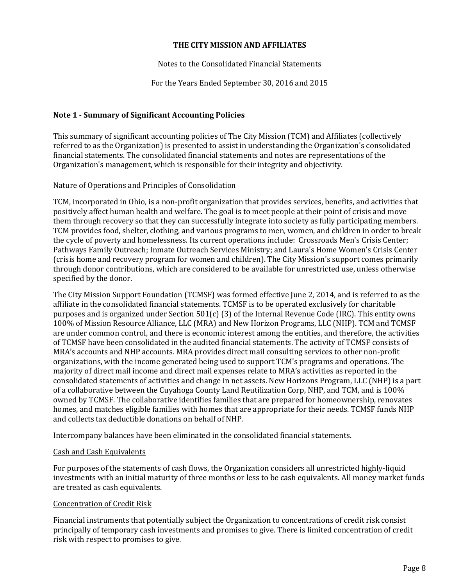### Notes to the Consolidated Financial Statements

For the Years Ended September 30, 2016 and 2015

# **Note 1 - Summary of Significant Accounting Policies**

This summary of significant accounting policies of The City Mission (TCM) and Affiliates (collectively referred to as the Organization) is presented to assist in understanding the Organization's consolidated financial statements. The consolidated financial statements and notes are representations of the Organization's management, which is responsible for their integrity and objectivity.

#### Nature of Operations and Principles of Consolidation

TCM, incorporated in Ohio, is a non-profit organization that provides services, benefits, and activities that positively affect human health and welfare. The goal is to meet people at their point of crisis and move them through recovery so that they can successfully integrate into society as fully participating members. TCM provides food, shelter, clothing, and various programs to men, women, and children in order to break the cycle of poverty and homelessness. Its current operations include: Crossroads Men's Crisis Center; Pathways Family Outreach; Inmate Outreach Services Ministry; and Laura's Home Women's Crisis Center (crisis home and recovery program for women and children). The City Mission's support comes primarily through donor contributions, which are considered to be available for unrestricted use, unless otherwise specified by the donor.

The City Mission Support Foundation (TCMSF) was formed effective June 2, 2014, and is referred to as the affiliate in the consolidated financial statements. TCMSF is to be operated exclusively for charitable purposes and is organized under Section 501(c) (3) of the Internal Revenue Code (IRC). This entity owns 100% of Mission Resource Alliance, LLC (MRA) and New Horizon Programs, LLC (NHP). TCM and TCMSF are under common control, and there is economic interest among the entities, and therefore, the activities of TCMSF have been consolidated in the audited financial statements. The activity of TCMSF consists of MRA's accounts and NHP accounts. MRA provides direct mail consulting services to other non-profit organizations, with the income generated being used to support TCM's programs and operations. The majority of direct mail income and direct mail expenses relate to MRA's activities as reported in the consolidated statements of activities and change in net assets. New Horizons Program, LLC (NHP) is a part of a collaborative between the Cuyahoga County Land Reutilization Corp, NHP, and TCM, and is 100% owned by TCMSF. The collaborative identifies families that are prepared for homeownership, renovates homes, and matches eligible families with homes that are appropriate for their needs. TCMSF funds NHP and collects tax deductible donations on behalf of NHP.

Intercompany balances have been eliminated in the consolidated financial statements.

#### Cash and Cash Equivalents

For purposes of the statements of cash flows, the Organization considers all unrestricted highly-liquid investments with an initial maturity of three months or less to be cash equivalents. All money market funds are treated as cash equivalents.

#### Concentration of Credit Risk

Financial instruments that potentially subject the Organization to concentrations of credit risk consist principally of temporary cash investments and promises to give. There is limited concentration of credit risk with respect to promises to give.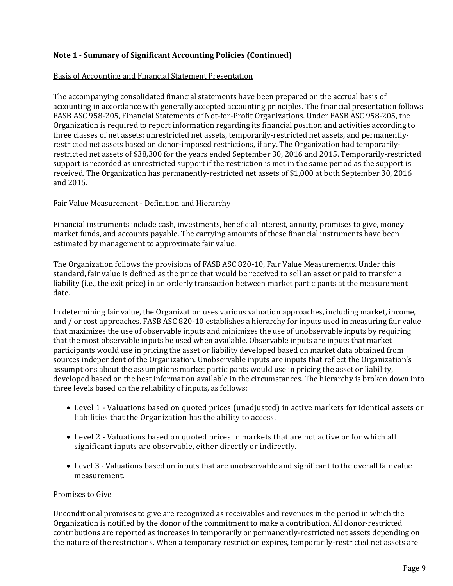# Basis of Accounting and Financial Statement Presentation

The accompanying consolidated financial statements have been prepared on the accrual basis of accounting in accordance with generally accepted accounting principles. The financial presentation follows FASB ASC 958-205, Financial Statements of Not-for-Profit Organizations. Under FASB ASC 958-205, the Organization is required to report information regarding its financial position and activities according to three classes of net assets: unrestricted net assets, temporarily-restricted net assets, and permanentlyrestricted net assets based on donor-imposed restrictions, if any. The Organization had temporarilyrestricted net assets of \$38,300 for the years ended September 30, 2016 and 2015. Temporarily-restricted support is recorded as unrestricted support if the restriction is met in the same period as the support is received. The Organization has permanently-restricted net assets of \$1,000 at both September 30, 2016 and 2015.

# Fair Value Measurement - Definition and Hierarchy

Financial instruments include cash, investments, beneficial interest, annuity, promises to give, money market funds, and accounts payable. The carrying amounts of these financial instruments have been estimated by management to approximate fair value.

The Organization follows the provisions of FASB ASC 820-10, Fair Value Measurements. Under this standard, fair value is defined as the price that would be received to sell an asset or paid to transfer a liability (i.e., the exit price) in an orderly transaction between market participants at the measurement date.

In determining fair value, the Organization uses various valuation approaches, including market, income, and / or cost approaches. FASB ASC 820-10 establishes a hierarchy for inputs used in measuring fair value that maximizes the use of observable inputs and minimizes the use of unobservable inputs by requiring that the most observable inputs be used when available. Observable inputs are inputs that market participants would use in pricing the asset or liability developed based on market data obtained from sources independent of the Organization. Unobservable inputs are inputs that reflect the Organization's assumptions about the assumptions market participants would use in pricing the asset or liability, developed based on the best information available in the circumstances. The hierarchy is broken down into three levels based on the reliability of inputs, as follows:

- Level 1 Valuations based on quoted prices (unadjusted) in active markets for identical assets or liabilities that the Organization has the ability to access.
- Level 2 Valuations based on quoted prices in markets that are not active or for which all significant inputs are observable, either directly or indirectly.
- Level 3 Valuations based on inputs that are unobservable and significant to the overall fair value measurement.

#### Promises to Give

Unconditional promises to give are recognized as receivables and revenues in the period in which the Organization is notified by the donor of the commitment to make a contribution. All donor-restricted contributions are reported as increases in temporarily or permanently-restricted net assets depending on the nature of the restrictions. When a temporary restriction expires, temporarily-restricted net assets are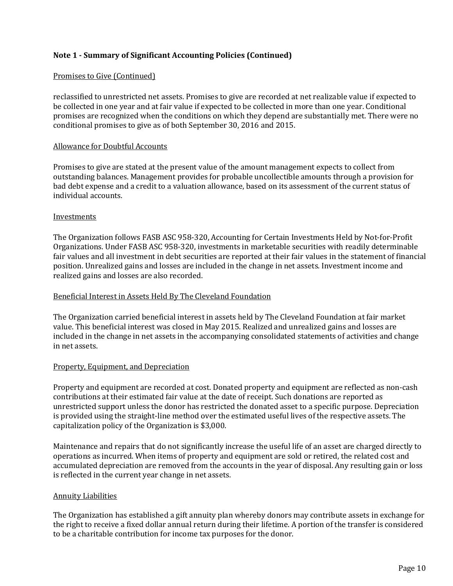#### Promises to Give (Continued)

reclassified to unrestricted net assets. Promises to give are recorded at net realizable value if expected to be collected in one year and at fair value if expected to be collected in more than one year. Conditional promises are recognized when the conditions on which they depend are substantially met. There were no conditional promises to give as of both September 30, 2016 and 2015.

#### Allowance for Doubtful Accounts

Promises to give are stated at the present value of the amount management expects to collect from outstanding balances. Management provides for probable uncollectible amounts through a provision for bad debt expense and a credit to a valuation allowance, based on its assessment of the current status of individual accounts.

#### Investments

The Organization follows FASB ASC 958-320, Accounting for Certain Investments Held by Not-for-Profit Organizations. Under FASB ASC 958-320, investments in marketable securities with readily determinable fair values and all investment in debt securities are reported at their fair values in the statement of financial position. Unrealized gains and losses are included in the change in net assets. Investment income and realized gains and losses are also recorded.

#### Beneficial Interest in Assets Held By The Cleveland Foundation

The Organization carried beneficial interest in assets held by The Cleveland Foundation at fair market value. This beneficial interest was closed in May 2015. Realized and unrealized gains and losses are included in the change in net assets in the accompanying consolidated statements of activities and change in net assets.

#### Property, Equipment, and Depreciation

Property and equipment are recorded at cost. Donated property and equipment are reflected as non-cash contributions at their estimated fair value at the date of receipt. Such donations are reported as unrestricted support unless the donor has restricted the donated asset to a specific purpose. Depreciation is provided using the straight-line method over the estimated useful lives of the respective assets. The capitalization policy of the Organization is \$3,000.

Maintenance and repairs that do not significantly increase the useful life of an asset are charged directly to operations as incurred. When items of property and equipment are sold or retired, the related cost and accumulated depreciation are removed from the accounts in the year of disposal. Any resulting gain or loss is reflected in the current year change in net assets.

#### Annuity Liabilities

The Organization has established a gift annuity plan whereby donors may contribute assets in exchange for the right to receive a fixed dollar annual return during their lifetime. A portion of the transfer is considered to be a charitable contribution for income tax purposes for the donor.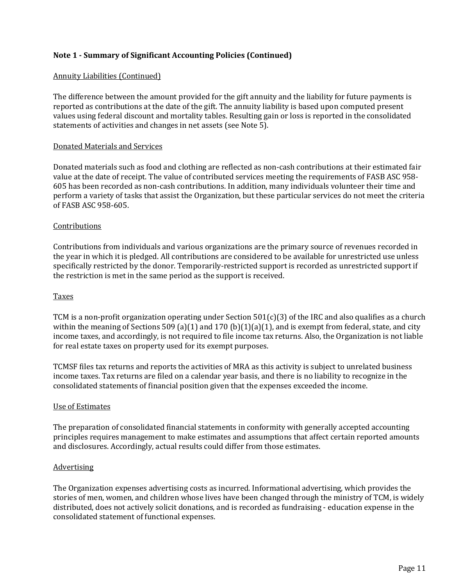#### Annuity Liabilities (Continued)

The difference between the amount provided for the gift annuity and the liability for future payments is reported as contributions at the date of the gift. The annuity liability is based upon computed present values using federal discount and mortality tables. Resulting gain or loss is reported in the consolidated statements of activities and changes in net assets (see Note 5).

#### Donated Materials and Services

Donated materials such as food and clothing are reflected as non-cash contributions at their estimated fair value at the date of receipt. The value of contributed services meeting the requirements of FASB ASC 958- 605 has been recorded as non-cash contributions. In addition, many individuals volunteer their time and perform a variety of tasks that assist the Organization, but these particular services do not meet the criteria of FASB ASC 958-605.

#### **Contributions**

Contributions from individuals and various organizations are the primary source of revenues recorded in the year in which it is pledged. All contributions are considered to be available for unrestricted use unless specifically restricted by the donor. Temporarily-restricted support is recorded as unrestricted support if the restriction is met in the same period as the support is received.

#### **Taxes**

TCM is a non-profit organization operating under Section  $501(c)(3)$  of the IRC and also qualifies as a church within the meaning of Sections 509 (a)(1) and 170 (b)(1)(a)(1), and is exempt from federal, state, and city income taxes, and accordingly, is not required to file income tax returns. Also, the Organization is not liable for real estate taxes on property used for its exempt purposes.

TCMSF files tax returns and reports the activities of MRA as this activity is subject to unrelated business income taxes. Tax returns are filed on a calendar year basis, and there is no liability to recognize in the consolidated statements of financial position given that the expenses exceeded the income.

#### Use of Estimates

The preparation of consolidated financial statements in conformity with generally accepted accounting principles requires management to make estimates and assumptions that affect certain reported amounts and disclosures. Accordingly, actual results could differ from those estimates.

#### **Advertising**

The Organization expenses advertising costs as incurred. Informational advertising, which provides the stories of men, women, and children whose lives have been changed through the ministry of TCM, is widely distributed, does not actively solicit donations, and is recorded as fundraising - education expense in the consolidated statement of functional expenses.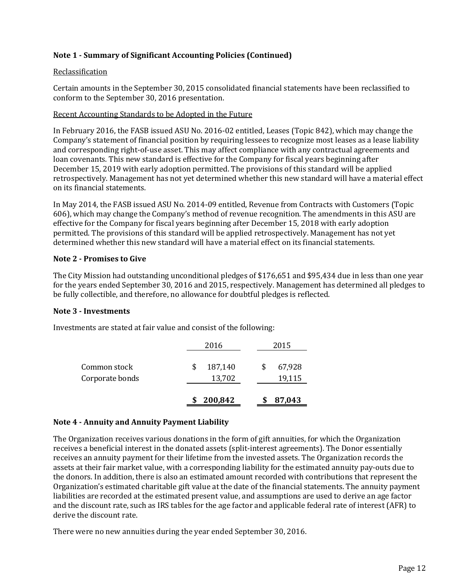#### Reclassification

Certain amounts in the September 30, 2015 consolidated financial statements have been reclassified to conform to the September 30, 2016 presentation.

#### Recent Accounting Standards to be Adopted in the Future

In February 2016, the FASB issued ASU No. 2016-02 entitled, Leases (Topic 842), which may change the Company's statement of financial position by requiring lessees to recognize most leases as a lease liability and corresponding right-of-use asset. This may affect compliance with any contractual agreements and loan covenants. This new standard is effective for the Company for fiscal years beginning after December 15, 2019 with early adoption permitted. The provisions of this standard will be applied retrospectively. Management has not yet determined whether this new standard will have a material effect on its financial statements.

In May 2014, the FASB issued ASU No. 2014-09 entitled, Revenue from Contracts with Customers (Topic 606), which may change the Company's method of revenue recognition. The amendments in this ASU are effective for the Company for fiscal years beginning after December 15, 2018 with early adoption permitted. The provisions of this standard will be applied retrospectively. Management has not yet determined whether this new standard will have a material effect on its financial statements.

#### **Note 2 - Promises to Give**

The City Mission had outstanding unconditional pledges of \$176,651 and \$95,434 due in less than one year for the years ended September 30, 2016 and 2015, respectively. Management has determined all pledges to be fully collectible, and therefore, no allowance for doubtful pledges is reflected.

#### **Note 3 - Investments**

Investments are stated at fair value and consist of the following:

|                                 | 200,842           | 87,043           |
|---------------------------------|-------------------|------------------|
| Common stock<br>Corporate bonds | 187,140<br>13,702 | 67,928<br>19,115 |
|                                 | 2016              | 2015             |

#### **Note 4 - Annuity and Annuity Payment Liability**

The Organization receives various donations in the form of gift annuities, for which the Organization receives a beneficial interest in the donated assets (split-interest agreements). The Donor essentially receives an annuity payment for their lifetime from the invested assets. The Organization records the assets at their fair market value, with a corresponding liability for the estimated annuity pay-outs due to the donors. In addition, there is also an estimated amount recorded with contributions that represent the Organization's estimated charitable gift value at the date of the financial statements. The annuity payment liabilities are recorded at the estimated present value, and assumptions are used to derive an age factor and the discount rate, such as IRS tables for the age factor and applicable federal rate of interest (AFR) to derive the discount rate.

There were no new annuities during the year ended September 30, 2016.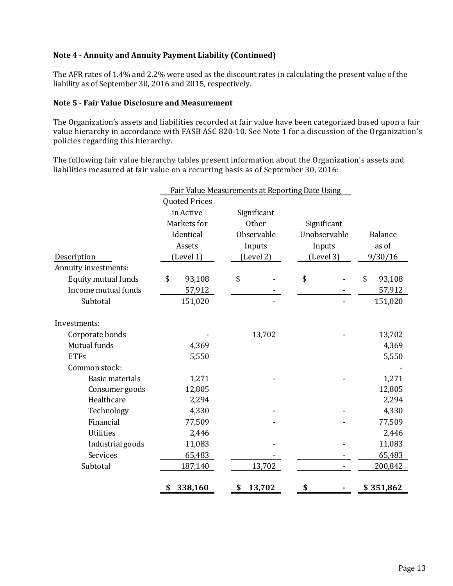# **Note 4 - Annuity and Annuity Payment Liability (Continued)**

The AFR rates of 1.4% and 2.2% were used as the discount rates in calculating the present value of the liability as of September 30, 2016 and 2015, respectively.

#### **Note 5 - Fair Value Disclosure and Measurement**

The Organization's assets and liabilities recorded at fair value have been categorized based upon a fair value hierarchy in accordance with FASB ASC 820-10. See Note 1 for a discussion of the Organization's policies regarding this hierarchy.

The following fair value hierarchy tables present information about the Organization's assets and liabilities measured at fair value on a recurring basis as of September 30, 2016:

|                        |                      | Fair Value Measurements at Reporting Date Using |              |                |
|------------------------|----------------------|-------------------------------------------------|--------------|----------------|
|                        | <b>Quoted Prices</b> |                                                 |              |                |
|                        | in Active            | Significant                                     |              |                |
|                        | Markets for          | Other                                           | Significant  |                |
|                        | Identical            | Observable                                      | Unobservable | <b>Balance</b> |
|                        | Assets               | Inputs                                          | Inputs       | as of          |
| Description            | (Level 1)            | (Level 2)                                       | (Level 3)    | 9/30/16        |
| Annuity investments:   |                      |                                                 |              |                |
| Equity mutual funds    | \$<br>93,108         | \$                                              | \$           | \$<br>93,108   |
| Income mutual funds    | 57,912               |                                                 |              | 57,912         |
| Subtotal               | 151,020              |                                                 |              | 151,020        |
| Investments:           |                      |                                                 |              |                |
| Corporate bonds        |                      | 13,702                                          |              | 13,702         |
| Mutual funds           | 4,369                |                                                 |              | 4,369          |
| <b>ETFs</b>            | 5,550                |                                                 |              | 5,550          |
| Common stock:          |                      |                                                 |              |                |
| <b>Basic materials</b> | 1,271                |                                                 |              | 1,271          |
| Consumer goods         | 12,805               |                                                 |              | 12,805         |
| Healthcare             | 2,294                |                                                 |              | 2,294          |
| Technology             | 4,330                |                                                 |              | 4,330          |
| Financial              | 77,509               |                                                 |              | 77,509         |
| <b>Utilities</b>       | 2,446                |                                                 |              | 2,446          |
| Industrial goods       | 11,083               |                                                 |              | 11,083         |
| Services               | 65,483               |                                                 |              | 65,483         |
| Subtotal               | 187,140              | 13,702                                          |              | 200,842        |
|                        | 338,160<br>\$        | 13,702<br>\$                                    | \$           | \$351,862      |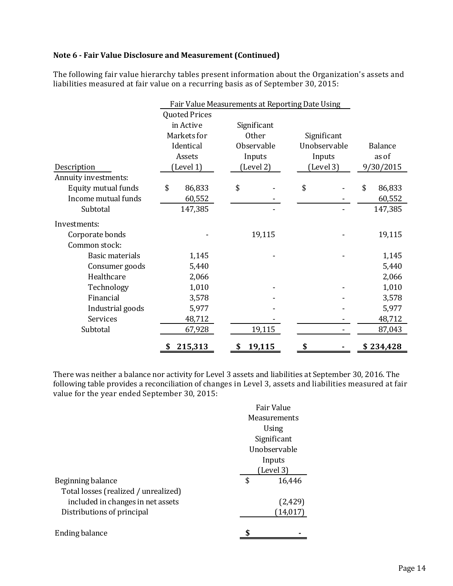# **Note 6 - Fair Value Disclosure and Measurement (Continued)**

The following fair value hierarchy tables present information about the Organization's assets and liabilities measured at fair value on a recurring basis as of September 30, 2015:

|                        | Fair Value Measurements at Reporting Date Using |                      |    |              |    |              |    |           |
|------------------------|-------------------------------------------------|----------------------|----|--------------|----|--------------|----|-----------|
|                        |                                                 | <b>Quoted Prices</b> |    |              |    |              |    |           |
|                        |                                                 | in Active            |    | Significant  |    |              |    |           |
|                        |                                                 | Markets for          |    | <b>Other</b> |    | Significant  |    |           |
|                        |                                                 | Identical            |    | Observable   |    | Unobservable |    | Balance   |
|                        |                                                 | Assets               |    | Inputs       |    | Inputs       |    | as of     |
| Description            |                                                 | (Level 1)            |    | (Level 2)    |    | (Level 3)    |    | 9/30/2015 |
| Annuity investments:   |                                                 |                      |    |              |    |              |    |           |
| Equity mutual funds    | \$                                              | 86,833               | \$ |              | \$ |              | \$ | 86,833    |
| Income mutual funds    |                                                 | 60,552               |    |              |    |              |    | 60,552    |
| Subtotal               |                                                 | 147,385              |    |              |    |              |    | 147,385   |
| Investments:           |                                                 |                      |    |              |    |              |    |           |
| Corporate bonds        |                                                 |                      |    | 19,115       |    |              |    | 19,115    |
| Common stock:          |                                                 |                      |    |              |    |              |    |           |
| <b>Basic materials</b> |                                                 | 1,145                |    |              |    |              |    | 1,145     |
| Consumer goods         |                                                 | 5,440                |    |              |    |              |    | 5,440     |
| Healthcare             |                                                 | 2,066                |    |              |    |              |    | 2,066     |
| Technology             |                                                 | 1,010                |    |              |    |              |    | 1,010     |
| Financial              |                                                 | 3,578                |    |              |    |              |    | 3,578     |
| Industrial goods       |                                                 | 5,977                |    |              |    |              |    | 5,977     |
| Services               |                                                 | 48,712               |    |              |    |              |    | 48,712    |
| Subtotal               |                                                 | 67,928               |    | 19,115       |    |              |    | 87,043    |
|                        | \$                                              | 215,313              | \$ | 19,115       | \$ |              |    | \$234,428 |

There was neither a balance nor activity for Level 3 assets and liabilities at September 30, 2016. The following table provides a reconciliation of changes in Level 3, assets and liabilities measured at fair value for the year ended September 30, 2015:

|                                      | Fair Value<br><b>Measurements</b><br>Using<br>Significant<br>Unobservable |
|--------------------------------------|---------------------------------------------------------------------------|
|                                      | Inputs                                                                    |
|                                      | (Level 3)                                                                 |
| Beginning balance                    | \$<br>16,446                                                              |
| Total losses (realized / unrealized) |                                                                           |
| included in changes in net assets    | (2,429)                                                                   |
| Distributions of principal           | (14,017)                                                                  |
|                                      |                                                                           |
| <b>Ending balance</b>                |                                                                           |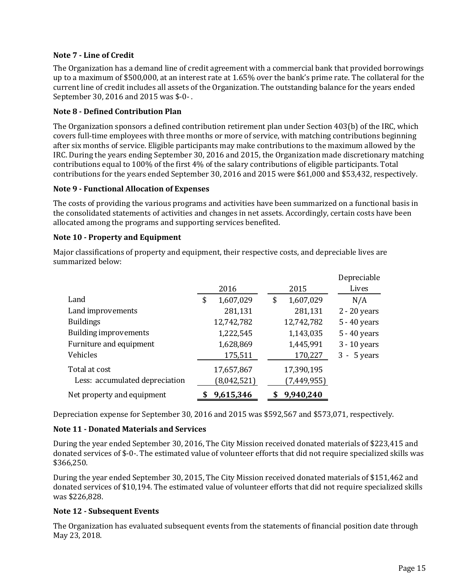# **Note 7 - Line of Credit**

The Organization has a demand line of credit agreement with a commercial bank that provided borrowings up to a maximum of \$500,000, at an interest rate at 1.65% over the bank's prime rate. The collateral for the current line of credit includes all assets of the Organization. The outstanding balance for the years ended September 30, 2016 and 2015 was \$-0- .

# **Note 8 - Defined Contribution Plan**

The Organization sponsors a defined contribution retirement plan under Section 403(b) of the IRC, which covers full-time employees with three months or more of service, with matching contributions beginning after six months of service. Eligible participants may make contributions to the maximum allowed by the IRC. During the years ending September 30, 2016 and 2015, the Organization made discretionary matching contributions equal to 100% of the first 4% of the salary contributions of eligible participants. Total contributions for the years ended September 30, 2016 and 2015 were \$61,000 and \$53,432, respectively.

#### **Note 9 - Functional Allocation of Expenses**

The costs of providing the various programs and activities have been summarized on a functional basis in the consolidated statements of activities and changes in net assets. Accordingly, certain costs have been allocated among the programs and supporting services benefited.

#### **Note 10 - Property and Equipment**

Major classifications of property and equipment, their respective costs, and depreciable lives are summarized below:

|                                |      |             |                 | Depreciable    |
|--------------------------------|------|-------------|-----------------|----------------|
|                                | 2016 |             | 2015            | Lives          |
| Land                           | \$   | 1,607,029   | \$<br>1,607,029 | N/A            |
| Land improvements              |      | 281,131     | 281,131         | $2 - 20$ years |
| <b>Buildings</b>               |      | 12,742,782  | 12,742,782      | 5 - 40 years   |
| Building improvements          |      | 1,222,545   | 1,143,035       | 5 - 40 years   |
| Furniture and equipment        |      | 1,628,869   | 1,445,991       | $3 - 10$ years |
| Vehicles                       |      | 175,511     | 170,227         | $3 - 5$ years  |
| Total at cost                  |      | 17,657,867  | 17,390,195      |                |
| Less: accumulated depreciation |      | (8,042,521) | (7, 449, 955)   |                |
| Net property and equipment     |      | 9,615,346   | 9,940,240       |                |

Depreciation expense for September 30, 2016 and 2015 was \$592,567 and \$573,071, respectively.

# **Note 11 - Donated Materials and Services**

During the year ended September 30, 2016, The City Mission received donated materials of \$223,415 and donated services of \$-0-. The estimated value of volunteer efforts that did not require specialized skills was \$366,250.

During the year ended September 30, 2015, The City Mission received donated materials of \$151,462 and donated services of \$10,194. The estimated value of volunteer efforts that did not require specialized skills was \$226,828.

# **Note 12 - Subsequent Events**

The Organization has evaluated subsequent events from the statements of financial position date through May 23, 2018.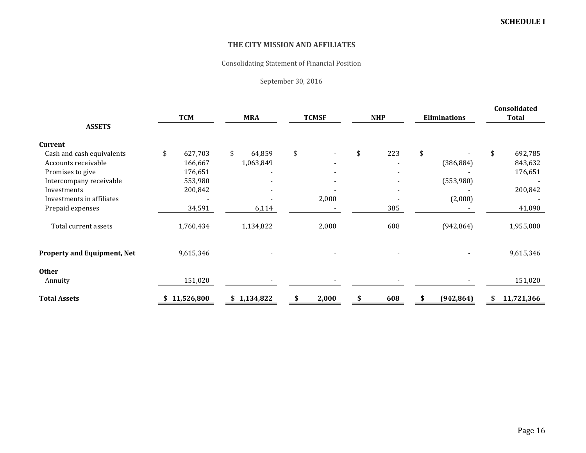Consolidating Statement of Financial Position

September 30, 2016

|                                    |               |              |              |            |                     | Consolidated  |  |
|------------------------------------|---------------|--------------|--------------|------------|---------------------|---------------|--|
|                                    | <b>TCM</b>    | <b>MRA</b>   | <b>TCMSF</b> | <b>NHP</b> | <b>Eliminations</b> | <b>Total</b>  |  |
| <b>ASSETS</b>                      |               |              |              |            |                     |               |  |
| Current                            |               |              |              |            |                     |               |  |
| Cash and cash equivalents          | \$<br>627,703 | \$<br>64,859 | \$           | 223<br>\$  | \$                  | 692,785<br>\$ |  |
| Accounts receivable                | 166,667       | 1,063,849    |              |            | (386, 884)          | 843,632       |  |
| Promises to give                   | 176,651       |              |              |            |                     | 176,651       |  |
| Intercompany receivable            | 553,980       |              |              |            | (553,980)           |               |  |
| Investments                        | 200,842       |              |              |            |                     | 200,842       |  |
| Investments in affiliates          |               |              | 2,000        |            | (2,000)             |               |  |
| Prepaid expenses                   | 34,591        | 6,114        |              | 385        |                     | 41,090        |  |
| Total current assets               | 1,760,434     | 1,134,822    | 2,000        | 608        | (942, 864)          | 1,955,000     |  |
| <b>Property and Equipment, Net</b> | 9,615,346     |              |              |            |                     | 9,615,346     |  |
| <b>Other</b>                       |               |              |              |            |                     |               |  |
| Annuity                            | 151,020       |              |              |            |                     | 151,020       |  |
| <b>Total Assets</b>                | \$11,526,800  | \$1,134,822  | 2,000        | 608        | (942, 864)          | 11,721,366    |  |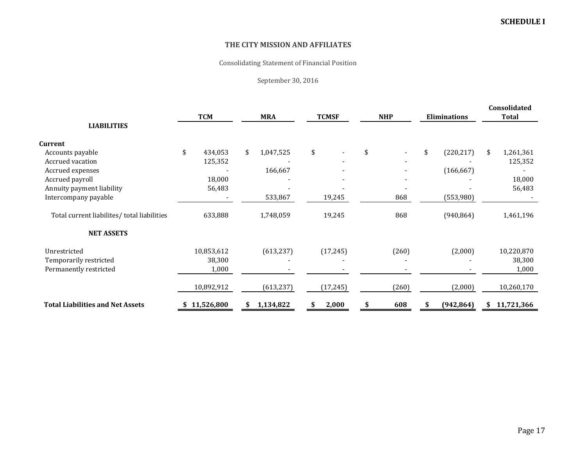Consolidating Statement of Financial Position

September 30, 2016

|                                             |                  |                 |              |            |                     | Consolidated     |  |
|---------------------------------------------|------------------|-----------------|--------------|------------|---------------------|------------------|--|
| <b>LIABILITIES</b>                          | <b>TCM</b>       | <b>MRA</b>      | <b>TCMSF</b> | <b>NHP</b> | <b>Eliminations</b> | <b>Total</b>     |  |
| Current                                     |                  |                 |              |            |                     |                  |  |
| Accounts payable                            | \$<br>434,053    | \$<br>1,047,525 | \$           | \$         | \$<br>(220, 217)    | \$<br>1,261,361  |  |
| Accrued vacation                            | 125,352          |                 |              |            |                     | 125,352          |  |
| Accrued expenses                            |                  | 166,667         |              |            | (166, 667)          |                  |  |
| Accrued payroll                             | 18,000           |                 |              |            |                     | 18,000           |  |
| Annuity payment liability                   | 56,483           |                 |              |            |                     | 56,483           |  |
| Intercompany payable                        |                  | 533,867         | 19,245       | 868        | (553,980)           |                  |  |
| Total current liabilites/ total liabilities | 633,888          | 1,748,059       | 19,245       | 868        | (940, 864)          | 1,461,196        |  |
| <b>NET ASSETS</b>                           |                  |                 |              |            |                     |                  |  |
| Unrestricted                                | 10,853,612       | (613, 237)      | (17, 245)    | (260)      | (2,000)             | 10,220,870       |  |
| Temporarily restricted                      | 38,300           |                 |              |            |                     | 38,300           |  |
| Permanently restricted                      | 1,000            |                 |              |            |                     | 1,000            |  |
|                                             | 10,892,912       | (613, 237)      | (17, 245)    | (260)      | (2,000)             | 10,260,170       |  |
| <b>Total Liabilities and Net Assets</b>     | 11,526,800<br>\$ | 1,134,822<br>\$ | 2,000<br>S   | 608        | (942, 864)<br>\$    | 11,721,366<br>\$ |  |